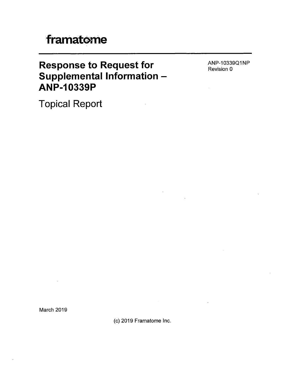# **framatome**

## **Response to Request for Supplemental Information** - **ANP-10339P**

ANP-10339Q1 NP Revision O

Topical Report

March 2019

(c) 2019 Framatome Inc.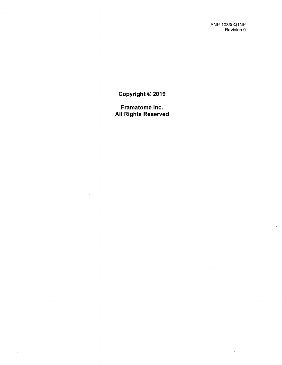**Copyright** © **2019** 

 $\ddot{\phantom{1}}$ 

**Framatome Inc. All Rights Reserved**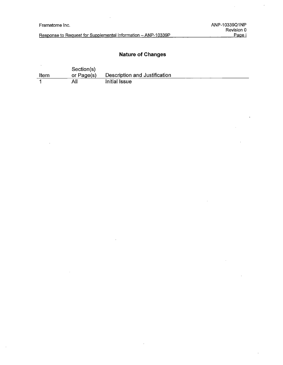$\ddot{\phantom{a}}$ 

 $\mathbb{R}^2$ 

Response to Request for Supplemental Information - ANP-10339P

## **Nature of Changes**

|      | Section(s) |                               |  |
|------|------------|-------------------------------|--|
| Item | or Page(s) | Description and Justification |  |
|      | All        | Initial Issue                 |  |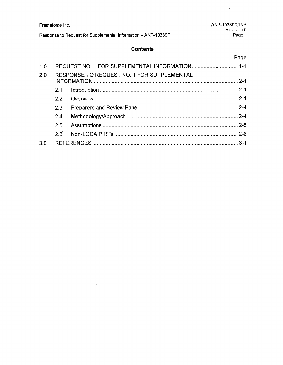Page

 $\bar{\nu}$ 

Response to Request for Supplemental Information - ANP-10339P

## **Contents**

| 1.0 |                                            | REQUEST NO. 1 FOR SUPPLEMENTAL INFORMATION 1-1 |  |  |  |
|-----|--------------------------------------------|------------------------------------------------|--|--|--|
| 2.0 | RESPONSE TO REQUEST NO. 1 FOR SUPPLEMENTAL |                                                |  |  |  |
|     |                                            |                                                |  |  |  |
|     | 2.1                                        |                                                |  |  |  |
|     | 22                                         |                                                |  |  |  |
|     | 2.3                                        |                                                |  |  |  |
|     | 24                                         |                                                |  |  |  |
|     | 2.5                                        |                                                |  |  |  |
|     | 2.6                                        |                                                |  |  |  |
| 3.0 |                                            |                                                |  |  |  |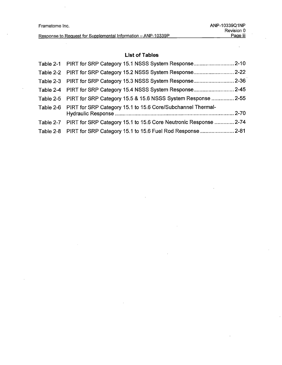| Framatome Inc.                                                | ANP-10339Q1NP          |
|---------------------------------------------------------------|------------------------|
| Response to Request for Supplemental Information - ANP-10339P | Revision 0<br>Page iii |
|                                                               |                        |

## **List of Tables**

| Table 2-5 PIRT for SRP Category 15.5 & 15.6 NSSS System Response  2-55     |  |
|----------------------------------------------------------------------------|--|
| Table 2-6 PIRT for SRP Category 15.1 to 15.6 Core/Subchannel Thermal-      |  |
| Table 2-7 PIRT for SRP Category 15.1 to 15.6 Core Neutronic Response  2-74 |  |
|                                                                            |  |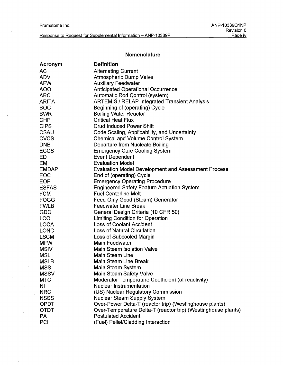$\ddot{\phantom{a}}$ 

 $\ddot{\phantom{a}}$ 

### Response to Request for Supplemental Information - ANP-10339P

## **Nomenclature**

| Acronym      | <b>Definition</b>                                             |
|--------------|---------------------------------------------------------------|
| <b>AC</b>    | <b>Alternating Current</b>                                    |
| <b>ADV</b>   | <b>Atmospheric Dump Valve</b>                                 |
| <b>AFW</b>   | <b>Auxiliary Feedwater</b>                                    |
| <b>AOO</b>   | <b>Anticipated Operational Occurrence</b>                     |
| <b>ARC</b>   | Automatic Rod Control (system)                                |
| <b>ARITA</b> | <b>ARTEMIS / RELAP Integrated Transient Analysis</b>          |
| <b>BOC</b>   | Beginning of (operating) Cycle                                |
| <b>BWR</b>   | <b>Boiling Water Reactor</b>                                  |
| <b>CHF</b>   | <b>Critical Heat Flux</b>                                     |
| <b>CIPS</b>  | <b>Crud Induced Power Shift</b>                               |
| <b>CSAU</b>  | Code Scaling, Applicability, and Uncertainty                  |
| <b>CVCS</b>  | <b>Chemical and Volume Control System</b>                     |
| <b>DNB</b>   | Departure from Nucleate Boiling                               |
| <b>ECCS</b>  | <b>Emergency Core Cooling System</b>                          |
| ED.          | <b>Event Dependent</b>                                        |
| <b>EM</b>    | <b>Evaluation Model</b>                                       |
| <b>EMDAP</b> | <b>Evaluation Model Development and Assessment Process</b>    |
| EOC          | End of (operating) Cycle                                      |
| <b>EOP</b>   | <b>Emergency Operating Procedure</b>                          |
| <b>ESFAS</b> | <b>Engineered Safety Feature Actuation System</b>             |
| <b>FCM</b>   | <b>Fuel Centerline Melt</b>                                   |
| <b>FOGG</b>  | Feed Only Good (Steam) Generator                              |
| <b>FWLB</b>  | <b>Feedwater Line Break</b>                                   |
| <b>GDC</b>   | General Design Criteria (10 CFR 50)                           |
| <b>LCO</b>   | <b>Limiting Condition for Operation</b>                       |
| <b>LOCA</b>  | <b>Loss of Coolant Accident</b>                               |
| <b>LONC</b>  | <b>Loss of Natural Circulation</b>                            |
| <b>LSCM</b>  | <b>Loss of Subcooled Margin</b>                               |
| <b>MFW</b>   | <b>Main Feedwater</b>                                         |
| <b>MSIV</b>  | Main Steam Isolation Valve                                    |
| <b>MSL</b>   | <b>Main Steam Line</b>                                        |
| <b>MSLB</b>  | Main Steam Line Break                                         |
| <b>MSS</b>   | Main Steam System                                             |
| <b>MSSV</b>  | <b>Main Steam Safety Valve</b>                                |
| <b>MTC</b>   | Moderator Temperature Coefficient (of reactivity)             |
| ΝI           | <b>Nuclear Instrumentation</b>                                |
| <b>NRC</b>   | (US) Nuclear Regulatory Commission                            |
| <b>NSSS</b>  | <b>Nuclear Steam Supply System</b>                            |
| <b>OPDT</b>  | Over-Power Delta-T (reactor trip) (Westinghouse plants)       |
| OTDT.        | Over-Temperature Delta-T (reactor trip) (Westinghouse plants) |
| <b>PA</b>    | <b>Postulated Accident</b>                                    |
| PCI          | (Fuel) Pellet/Cladding Interaction                            |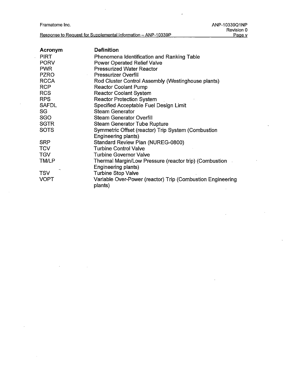$\mathcal{L}$ 

Response to Request for Supplemental Information - ANP-10339P

| Acronym      | <b>Definition</b>                                                     |
|--------------|-----------------------------------------------------------------------|
| <b>PIRT</b>  | Phenomena Identification and Ranking Table                            |
| <b>PORV</b>  | <b>Power Operated Relief Valve</b>                                    |
| <b>PWR</b>   | <b>Pressurized Water Reactor</b>                                      |
| <b>PZRO</b>  | <b>Pressurizer Overfill</b>                                           |
| <b>RCCA</b>  | Rod Cluster Control Assembly (Westinghouse plants)                    |
| <b>RCP</b>   | <b>Reactor Coolant Pump</b>                                           |
| <b>RCS</b>   | <b>Reactor Coolant System</b>                                         |
| <b>RPS</b>   | <b>Reactor Protection System</b>                                      |
| <b>SAFDL</b> | Specified Acceptable Fuel Design Limit                                |
| SG           | <b>Steam Generator</b>                                                |
| SGO          | <b>Steam Generator Overfill</b>                                       |
| <b>SGTR</b>  | <b>Steam Generator Tube Rupture</b>                                   |
| <b>SOTS</b>  | Symmetric Offset (reactor) Trip System (Combustion                    |
|              | Engineering plants)                                                   |
| <b>SRP</b>   | Standard Review Plan (NUREG-0800)                                     |
| <b>TCV</b>   | <b>Turbine Control Valve</b>                                          |
| <b>TGV</b>   | <b>Turbine Governor Valve</b>                                         |
| TM/LP        | Thermal Margin/Low Pressure (reactor trip) (Combustion                |
|              | Engineering plants)                                                   |
| <b>TSV</b>   | <b>Turbine Stop Valve</b>                                             |
| <b>VOPT</b>  | Variable Over-Power (reactor) Trip (Combustion Engineering<br>plants) |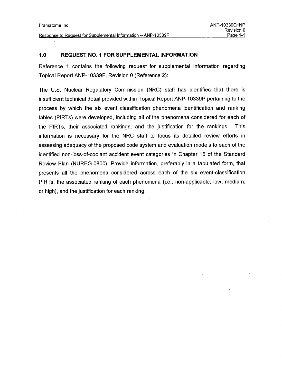#### **1.0 REQUEST NO. 1 FOR SUPPLEMENTAL INFORMATION**

Reference 1 contains the following request for supplemental information regarding Topical Report ANP-10339P, Revision O (Reference 2):

The U.S. Nuclear Regulatory Commission (NRC) staff has identified that there is insufficient technical detail provided within Topical Report ANP-10339P pertaining to the process by which the six event classification phenomena identification and ranking tables (PIRTs) were developed, including all of the phenomena considered for each of the PIRTs, their associated rankings, and the justification for the rankings. This information is necessary for the NRC staff to focus its detailed review efforts in assessing adequacy of the proposed code system and evaluation models to each of the identified non-loss-of-coolant accident event categories in Chapter 15 of the Standard Review Plan (NUREG-0800). Provide information, preferably in a tabulated form, that presents all the phenomena considered across each of the six event-classification PIRTs, the associated ranking of each phenomena (i.e., non-applicable, low, medium, or high), and the justification for each ranking.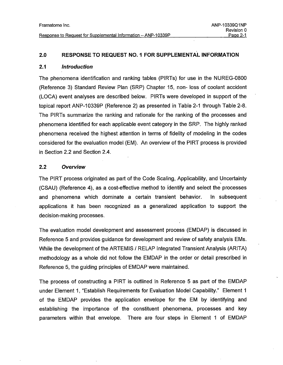#### **2.0 RESPONSE TO REQUEST NO. 1 FOR SUPPLEMENTAL INFORMATION**

#### **2.1 Introduction**

The phenomena identification and ranking tables (PIRTs) for use in the NUREG-0800 (Reference 3) Standard Review Plan (SRP) Chapter 15, non- loss of coolant accident (LOCA) event analyses are described below. PIRTs were developed in support of the topical report ANP-10339P (Reference 2) as presented in Table 2-1 through Table 2-8. The PIRTs summarize the ranking and rationale for the ranking of the processes and phenomena identified for each applicable event category in the SRP. The highly ranked phenomena received the highest attention in terms of fidelity of modeling in the codes considered for the evaluation model (EM). An overview of the PIRT process is provided in Section 2.2 and Section 2.4.

#### **2.2 Overview**

The PIRT process originated as part of the Code Scaling, Applicability, and Uncertainty ' (CSAU) (Reference 4), as a cost-effective method to identify and select the processes and phenomena which dominate a certain transient behavior. In subsequent applications it has been recognized as a generalized application to support the decision-making processes.

The evaluation model development and assessment process (EMDAP) is discussed in Reference 5 and provides guidance for development and review of safety analysis EMs. While the development of the ARTEMIS / RELAP Integrated Transient Analysis (ARITA) methodology as a whole did not follow the EMDAP in the order or detail prescribed in Reference 5, the guiding principles of EMDAP were maintained.

The process of constructing a PIRT is outlined in Reference 5 as part of the EMDAP under Element 1, "Establish Requirements for Evaluation Model Capability." Element 1 of the EMDAP provides the application envelope for the EM by identifying and establishing the importance of the constituent phenomena, processes and key parameters within that envelope. There are four steps in Element 1 of EMDAP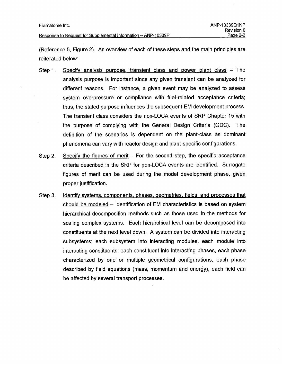(Reference 5, Figure 2). An overview of each of these steps and the main principles are reiterated below:

- Step 1. Specify analysis purpose, transient class and power plant class  $-$  The analysis purpose is important since any given transient can be analyzed for different reasons. For instance, a given event may be analyzed to assess system overpressure or compliance with fuel-related acceptance criteria; thus, the stated purpose influences the subsequent EM development process. The transient class considers the non-LOCA events of SRP Chapter 15 with the purpose of complying with the General Design Criteria (GDC). The definition of the scenarios is dependent on the plant-class as dominant phenomena can vary with reactor design and plant-specific configurations.
- Step 2. Specify the figures of merit  $-$  For the second step, the specific acceptance criteria described in the SRP for non-LOCA events are identified. Surrogate figures of merit can be used during the model development phase, given proper justification.
- Step 3. Identify systems, components, phases, geometries, fields, and processes that should be modeled - Identification of EM characteristics is based on system hierarchical decomposition methods such as those used in the methods for scaling complex systems. Each hierarchical level can be decomposed into constituents at the next level down. A system can be divided into interacting subsystems; each subsystem into interacting modules, each module into interacting constituents, each constituent into interacting phases, each phase characterized by one or multiple geometrical configurations, each phase described by field equations (mass, momentum and energy), each field can be affected by several transport processes.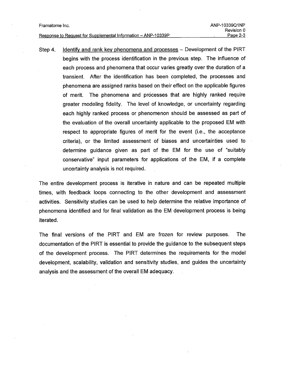Response to Request for Supplemental Information - ANP-10339P

Step 4. Identify and rank key phenomena and processes – Development of the PIRT begins with the process identification in the previous step. The influence of each process and phenomena that occur varies greatly over the duration of a transient. After the identification has been completed, the processes and phenomena are assigned ranks based on their effect on the applicable figures of merit. The phenomena and processes that are highly ranked require greater modeling fidelity. The level of knowledge, or uncertainty regarding each highly ranked process or phenomenon should be assessed as part of the evaluation of the overall uncertainty applicable to the proposed EM with respect to appropriate figures of merit for the event (i.e., the acceptance criteria), or the limited assessment of biases and uncertainties used to determine guidance given as part of the EM for the use of "suitably conservative" input parameters for applications of the EM, if a complete uncertainty analysis is not required.

The entire development process is iterative in nature and can be repeated multiple times, with feedback loops connecting to the other development and assessment activities. Sensitivity studies can be used to help determine the relative importance of phenomena identified· and for final validation as the EM development process is being iterated.

The final versions of the PIRT and EM are frozen for review purposes. The documentation of the PIRT is essential to provide the guidance to the subsequent steps of the development process. The PIRT determines the requirements for the model development, scalability, validation and sensitivity studies, and guides the uncertainty analysis and the assessment of the overall EM adequacy.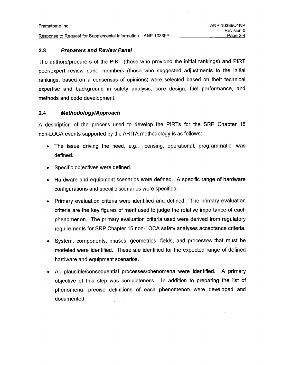#### **2.3 Preparers and Review Panel**

The authors/preparers of the PIRT (those who provided the initial rankings) and PIRT peer/expert review panel members (those who suggested adjustments to the initial rankings, based on a consensus of opinions) were selected based on their technical expertise and background in safety analysis, core design, fuel performance, and methods and code development.

#### **2.4 Methodology/ Approach**

A description of the process used to develop the PIRTs for the SRP Chapter 15 non-LOCA events supported by the ARITA methodology is as follows:

- The issue driving the need, e.g., licensing, operational, programmatic, was defined.
- Specific objectives were defined.
- Hardware and equipment scenarios were defined. A specific range of hardware configurations and specific scenarios were specified.
- Primary evaluation criteria were identified and defined. The primary evaluation criteria are the key figures of merit used to judge the relative importance of each phenomenon. The primary evaluation criteria used were derived from regulatory requirements for SRP Chapter 15 non-LOCA safety analyses acceptance criteria.
- System, components, phases, geometries, fields, and processes that must be modeled were identified. These are identified for the expected range of defined hardware and equipment scenarios.
- All plausible/consequential processes/phenomena were identified. A primary objective of this step was completeness. In addition to preparing the list of phenomena, precise definitions of each phenomenon were developed and documented.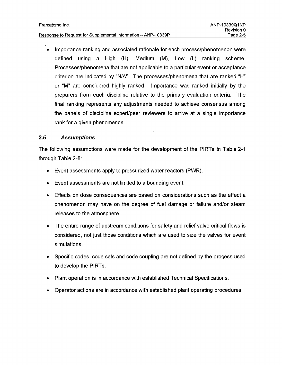• Importance ranking and associated rationale for each process/phenomenon were defined using a High (H), Medium (M), Low (L) ranking scheme. Processes/phenomena that are not applicable to a particular event or acceptance criterion are indicated by "N/A". The processes/phenomena that are ranked "H" or "M" are considered highly ranked. Importance was ranked initially by the preparers from each discipline relative to the primary evaluation criteria. The final ranking represents any adjustments needed to achieve consensus among the panels of discipline expert/peer reviewers to arrive at a single importance rank for a given phenomenon.

#### **2.5 Assumptions**

The following assumptions were made for the development of the PIRTs in Table 2-1 through Table 2-8:

- Event assessments apply to pressurized water reactors (PWR).
- Event assessments are not limited to a bounding event.
- Effects on dose consequences are based on considerations such as the effect a phenomenon may have on the degree of fuel damage or failure and/or steam releases to the atmosphere.
- The entire range of upstream conditions for safety and relief valve critical flows is considered, not just those conditions which are used to size the valves for event simulations.
- Specific codes, code sets and code coupling are not defined by the process used to develop the PIRTs.
- Plant operation is in accordance with established Technical Specifications.
- Operator actions are in accordance with established plant operating procedures.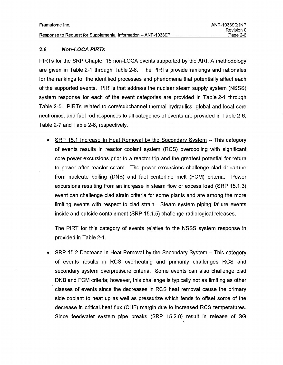#### **2.6 Non-LOCA PIRTs**

PIRTs for the SRP Chapter 15 non-LOCA events supported by the ARITA methodology are given in Table 2-1 through Table 2-8. The PIRTs provide rankings and rationales for the rankings for the identified processes and phenomena that potentially affect each of the supported events. PIRTs that address the nuclear steam supply system (NSSS) system response for each of the event categories are provided in Table 2-1 through Table 2-5. PIRTs related to core/subchannel thermal hydraulics, global and local core neutronics, and fuel rod responses to all categories of events are provided in Table 2-6, Table 2-7 and Table 2-8, respectively.

• SRP 15.1 Increase In Heat Removal by the Secondary System - This category of events results in reactor coolant system (RCS) overcooling with significant core power excursions prior to a reactor trip and the greatest potential for return to power after reactor scram. The power excursions challenge clad departure from nucleate boiling (DNB) and fuel centerline melt (FCM) criteria. Power excursions resulting from an increase in steam flow or excess load (SRP 15.1.3) event can challenge clad strain criteria for some plants and are among the more limiting events with respect to clad strain. Steam system piping failure events inside and outside containment (SRP 15.1.5) challenge radiological releases.

The PIRT for this category of events relative to the NSSS system response in provided in Table 2-1.

• SRP 15.2 Decrease in Heat Removal by the Secondary System - This category of events results in RCS overheating and primarily challenges RCS and secondary system overpressure criteria. Some events can also challenge clad DNB and FCM criteria; however, this challenge is typically not as limiting as other classes of events since the decreases in RCS heat removal cause the primary side coolant to heat up as well as pressurize which tends to offset some of the decrease in critical. heat flux (CHF) margin due to increased RCS temperatures. Since feedwater system pipe breaks (SRP 15.2.8) result in release of SG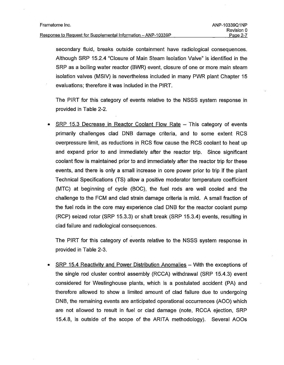secondary fluid, breaks outside containment have radiological consequences. Although SRP 15.2.4 "Closure of Main Steam Isolation Valve" is identified in the SRP as a boiling water reactor (BWR) event, closure of one or more main steam isolation valves (MSIV) is nevertheless included in many PWR plant Chapter 15 evaluations; therefore it was included in the PIRT.

The PIRT for this category of events relative to the NSSS system response in provided in Table 2-2.

• SRP 15.3 Decrease in Reactor Coolant Flow Rate – This category of events primarily challenges clad DNB damage criteria, and to some extent RCS overpressure limit, as reductions in RCS flow cause the RCS coolant to heat up and expand prior to and immediately after the reactor trip. Since significant coolant flow is maintained prior to and immediately after the reactor trip for these events, and there is only a small increase in core power prior to trip if the plant Technical Specifications (TS) allow a positive moderator temperature coefficient (MTC) at beginning of cycle (BOC), the fuel rods are well cooled and the challenge to the FCM and clad strain damage criteria is mild. A small fraction of the fuel rods in the core may experience clad DNB for the reactor coolant pump (RCP) seized rotor (SRP 15.3.3) or shaft break (SRP 15.3.4) events, resulting in clad failure and radiological consequences.

The PIRT for this category of events relative to the NSSS system response in provided in Table 2-3.

• SRP 15.4 Reactivity and Power Distribution Anomalies - With the exceptions of the single rod cluster control assembly (RCCA) withdrawal (SRP 15.4.3) event considered for Westinghouse plants, which is a postulated accident (PA) and therefore allowed to show a limited amount of clad failure due to undergoing DNB, the remaining events are anticipated operational occurrences (AOO) which are not allowed to result in fuel or clad damage (note, RCCA ejection, SRP 15.4.8, is outside of the scope of the ARITA methodology). Several AOOs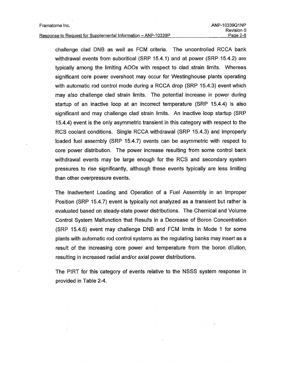| Framatome Inc.                                                | ANP-10339Q1NP |
|---------------------------------------------------------------|---------------|
|                                                               | Revision 0    |
| Response to Request for Supplemental Information - ANP-10339P | Page 2-8      |

challenge clad DNB as well as FCM criteria. The uncontrolled RCCA bank withdrawal events from subcritical (SRP 15.4.1) and at power (SRP 15.4.2) are typically among the limiting AOOs with respect to clad strain limits. Whereas significant core power overshoot may occur for Westinghouse plants operating with automatic rod control mode during a RCCA drop (SRP 15.4.3) event which may also challenge clad strain limits. The potential increase in power during startup of an inactive loop at an incorrect temperature (SRP 15.4.4) is also significant and may challenge clad strain limits. An inactive loop startup (SRP 15.4.4) event is the only asymmetric transient in this category with respect to the RCS coolant conditions. Single RCCA withdrawal (SRP 15.4.3) and improperly loaded fuel assembly (SRP 15.4.7) events can be asymmetric with respect to core power distribution. The power increase resulting from some control bank withdrawal events may be large enough for the RCS and secondary system pressures to rise significantly, although these events typically are less limiting· than other overpressure events.

The Inadvertent Loading and Operation of a Fuel Assembly in an Improper Position (SRP 15.4.7) event is typically not analyzed as a transient but rather is evaluated based on steady-state power distributions. The Chemical and Volume Control System Malfunction that Results in a Decrease of Boron Concentration (SRP 15.4.6) event may challenge DNB and FCM limits in Mode 1 for some plants with automatic rod control systems as the regulating banks may insert as <sup>a</sup> result of the increasing core power and temperature from the boron dilution, resulting in increased radial and/or axial power distributions.

The PIRT for this category of events relative to the NSSS system response in provided in Table 2-4.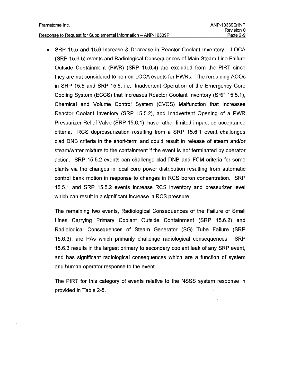#### Response to Request for Supplemental Information - ANP-10339P

• SRP 15.5 and 15.6 Increase & Decrease in Reactor Coolant Inventory - LOCA (SRP 15.6.5) events and Radiological Consequences of Main Steam Line Failure Outside Containment (BWR) (SRP 15.6.4) are excluded from the PIRT since they are not considered to be non-LOCA events for PWRs. The remaining AOOs in SRP 15.5 and SRP 15.6, i.e., Inadvertent Operation of the Emergency Core Cooling System (ECCS) that Increases Reactor Coolant Inventory (SRP 15.5.1 ), Chemical and Volume Control System (CVCS) Malfunction that Increases Reactor Coolant Inventory (SRP 15.5.2), and Inadvertent Opening of a PWR Pressurizer Relief Valve (SRP 15.6.1 ), have rather limited impact on acceptance criteria. RCS depressurization resulting from a SRP 15.6.1 event challenges clad DNB criteria in the short-term and could result in release of steam and/or steam/water mixture to the containment if the event is not terminated by operator action. SRP 15.5.2 events can challenge clad DNB and FCM criteria for some plants via the changes in local core power distribution resulting from automatic control bank motion in response to changes in RCS boron concentration. SRP 15.5.1 and SRP 15.5.2 events increase RCS inventory and pressurizer level which can result in a significant increase in RCS pressure.

The remaining two events, Radiological Consequences of the Failure of Small Lines Carrying Primary Coolant Outside Containment (SRP 15.6.2) and Radiological Consequences of Steam Generator (SG) Tube Failure (SRP 15.6.3), are PAs which primarily challenge radiological consequences. SRP 15.6.3 results in the largest primary to secondary coolant leak of any SRP event, and has significant radiological consequences which are a function of system and human operator response to the event.

The PIRT for this category of events relative to the NSSS system response in provided in Table 2-5.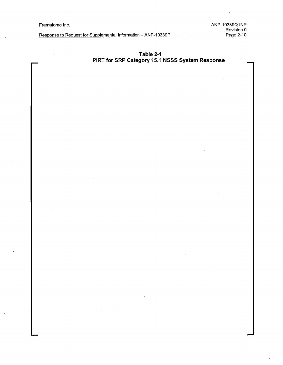## **Table 2-1 PIRT for SRP Category 15.1 NSSS System Response**

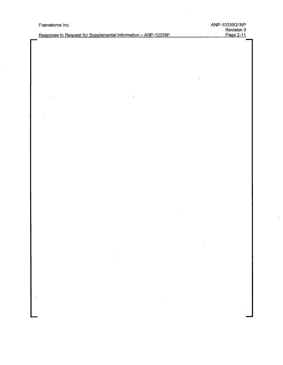Response to Request for Supplemental Information - ANP-10339P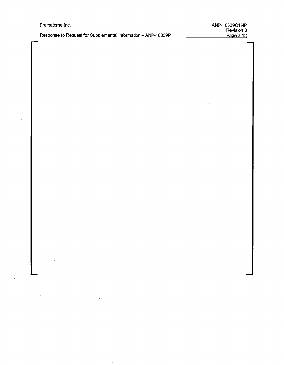|                                                                       |                                                                                                                                                                                                                                                                                                                                                                                                                                                             |                                                                                                                                                                                                                                                                                                                                                                                                                                   | $\mathcal{L}(\mathcal{L}(\mathcal{L}))$ and $\mathcal{L}(\mathcal{L}(\mathcal{L}))$ . The contribution of $\mathcal{L}(\mathcal{L})$ |                                                                                     |
|-----------------------------------------------------------------------|-------------------------------------------------------------------------------------------------------------------------------------------------------------------------------------------------------------------------------------------------------------------------------------------------------------------------------------------------------------------------------------------------------------------------------------------------------------|-----------------------------------------------------------------------------------------------------------------------------------------------------------------------------------------------------------------------------------------------------------------------------------------------------------------------------------------------------------------------------------------------------------------------------------|--------------------------------------------------------------------------------------------------------------------------------------|-------------------------------------------------------------------------------------|
|                                                                       |                                                                                                                                                                                                                                                                                                                                                                                                                                                             |                                                                                                                                                                                                                                                                                                                                                                                                                                   |                                                                                                                                      |                                                                                     |
|                                                                       |                                                                                                                                                                                                                                                                                                                                                                                                                                                             |                                                                                                                                                                                                                                                                                                                                                                                                                                   |                                                                                                                                      | and the control                                                                     |
|                                                                       |                                                                                                                                                                                                                                                                                                                                                                                                                                                             | $\label{eq:2.1} \frac{1}{\sqrt{2}}\int_{\mathbb{R}^3}\frac{1}{\sqrt{2}}\left(\frac{1}{\sqrt{2}}\right)^2\frac{1}{\sqrt{2}}\left(\frac{1}{\sqrt{2}}\right)^2\frac{1}{\sqrt{2}}\left(\frac{1}{\sqrt{2}}\right)^2\frac{1}{\sqrt{2}}\left(\frac{1}{\sqrt{2}}\right)^2\frac{1}{\sqrt{2}}\left(\frac{1}{\sqrt{2}}\right)^2\frac{1}{\sqrt{2}}\frac{1}{\sqrt{2}}\frac{1}{\sqrt{2}}\frac{1}{\sqrt{2}}\frac{1}{\sqrt{2}}\frac{1}{\sqrt{2}}$ |                                                                                                                                      | $\mathcal{L}^{\text{max}}_{\text{max}}$ and $\mathcal{L}^{\text{max}}_{\text{max}}$ |
|                                                                       |                                                                                                                                                                                                                                                                                                                                                                                                                                                             | $\mathcal{L}(\mathcal{L}(\mathcal{L}))$ and $\mathcal{L}(\mathcal{L}(\mathcal{L}))$ and $\mathcal{L}(\mathcal{L}(\mathcal{L}))$ . Then the contribution of $\mathcal{L}(\mathcal{L})$                                                                                                                                                                                                                                             |                                                                                                                                      |                                                                                     |
|                                                                       |                                                                                                                                                                                                                                                                                                                                                                                                                                                             |                                                                                                                                                                                                                                                                                                                                                                                                                                   |                                                                                                                                      |                                                                                     |
|                                                                       |                                                                                                                                                                                                                                                                                                                                                                                                                                                             |                                                                                                                                                                                                                                                                                                                                                                                                                                   |                                                                                                                                      |                                                                                     |
|                                                                       |                                                                                                                                                                                                                                                                                                                                                                                                                                                             |                                                                                                                                                                                                                                                                                                                                                                                                                                   |                                                                                                                                      |                                                                                     |
|                                                                       | $\mathcal{L}(\mathcal{L}(\mathcal{L}(\mathcal{L}(\mathcal{L}(\mathcal{L}(\mathcal{L}(\mathcal{L}(\mathcal{L}(\mathcal{L}(\mathcal{L}(\mathcal{L}(\mathcal{L}(\mathcal{L}(\mathcal{L}(\mathcal{L}(\mathcal{L}(\mathcal{L}(\mathcal{L}(\mathcal{L}(\mathcal{L}(\mathcal{L}(\mathcal{L}(\mathcal{L}(\mathcal{L}(\mathcal{L}(\mathcal{L}(\mathcal{L}(\mathcal{L}(\mathcal{L}(\mathcal{L}(\mathcal{L}(\mathcal{L}(\mathcal{L}(\mathcal{L}(\mathcal{L}(\mathcal{$ |                                                                                                                                                                                                                                                                                                                                                                                                                                   |                                                                                                                                      |                                                                                     |
|                                                                       |                                                                                                                                                                                                                                                                                                                                                                                                                                                             |                                                                                                                                                                                                                                                                                                                                                                                                                                   |                                                                                                                                      |                                                                                     |
|                                                                       |                                                                                                                                                                                                                                                                                                                                                                                                                                                             |                                                                                                                                                                                                                                                                                                                                                                                                                                   |                                                                                                                                      |                                                                                     |
|                                                                       |                                                                                                                                                                                                                                                                                                                                                                                                                                                             |                                                                                                                                                                                                                                                                                                                                                                                                                                   |                                                                                                                                      |                                                                                     |
|                                                                       | $\mathcal{L}_{\text{max}}$ and $\mathcal{L}_{\text{max}}$ . The second state $\mathcal{L}_{\text{max}}$                                                                                                                                                                                                                                                                                                                                                     |                                                                                                                                                                                                                                                                                                                                                                                                                                   |                                                                                                                                      |                                                                                     |
|                                                                       |                                                                                                                                                                                                                                                                                                                                                                                                                                                             |                                                                                                                                                                                                                                                                                                                                                                                                                                   |                                                                                                                                      |                                                                                     |
| $\bullet$ - $\bullet$ - $\bullet$ - $\bullet$ - $\bullet$ - $\bullet$ |                                                                                                                                                                                                                                                                                                                                                                                                                                                             |                                                                                                                                                                                                                                                                                                                                                                                                                                   |                                                                                                                                      |                                                                                     |

 $\mathcal{L}$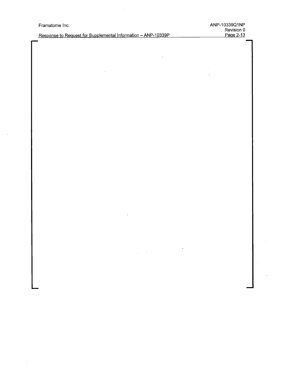$\bar{z}$ 

Response to Request for Supplemental Information - ANP-10339P

 $\ddot{\phantom{a}}$ 

 $\hat{\boldsymbol{\cdot}$ 

 $\ddot{\phantom{1}}$ 

 $\sim$  $\mathbf{r}$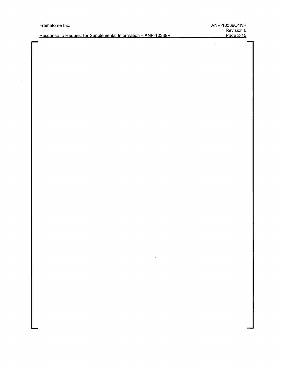| Framatome Inc.                                                | ANP-10339Q1NP<br>Revision 0 |
|---------------------------------------------------------------|-----------------------------|
| Response to Request for Supplemental Information - ANP-10339P | Page 2-15                   |
|                                                               |                             |

 $\mathcal{L}^{\text{max}}_{\text{max}}$  , where  $\mathcal{L}^{\text{max}}_{\text{max}}$ 

 $\label{eq:2.1} \mathcal{L}(\mathcal{L}^{\text{max}}_{\mathcal{L}}(\mathcal{L}^{\text{max}}_{\mathcal{L}}),\mathcal{L}^{\text{max}}_{\mathcal{L}}(\mathcal{L}^{\text{max}}_{\mathcal{L}}))$ 

 $\sim$ 

 $\hat{\mathcal{L}}$ 

 $\sim 10^{-11}$ 

 $\mathcal{A}^{\pm}$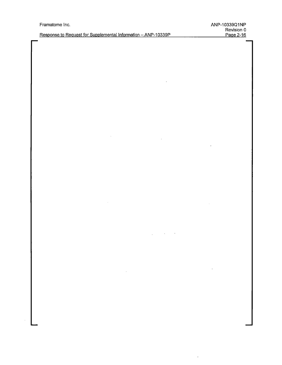$\sim$ 

 $\bar{z}$ 

 $\mathcal{L}_{\mathbf{a}}$ 

 $\overline{a}$ 

 $\sim 100$ 

 $\mathcal{L}$ 

 $\sim 10^{-10}$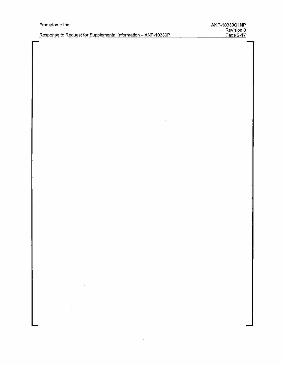|                                                                                                                                                                                                                                                                                                                | Response to Request for Supplemental Information - ANP-10339P                                                                                                                                                                                                                                                  |                                                                                                                                                                          |  |                                                                                                                                      |  |
|----------------------------------------------------------------------------------------------------------------------------------------------------------------------------------------------------------------------------------------------------------------------------------------------------------------|----------------------------------------------------------------------------------------------------------------------------------------------------------------------------------------------------------------------------------------------------------------------------------------------------------------|--------------------------------------------------------------------------------------------------------------------------------------------------------------------------|--|--------------------------------------------------------------------------------------------------------------------------------------|--|
|                                                                                                                                                                                                                                                                                                                |                                                                                                                                                                                                                                                                                                                |                                                                                                                                                                          |  |                                                                                                                                      |  |
|                                                                                                                                                                                                                                                                                                                |                                                                                                                                                                                                                                                                                                                |                                                                                                                                                                          |  |                                                                                                                                      |  |
|                                                                                                                                                                                                                                                                                                                |                                                                                                                                                                                                                                                                                                                |                                                                                                                                                                          |  |                                                                                                                                      |  |
|                                                                                                                                                                                                                                                                                                                |                                                                                                                                                                                                                                                                                                                |                                                                                                                                                                          |  |                                                                                                                                      |  |
|                                                                                                                                                                                                                                                                                                                |                                                                                                                                                                                                                                                                                                                |                                                                                                                                                                          |  |                                                                                                                                      |  |
|                                                                                                                                                                                                                                                                                                                |                                                                                                                                                                                                                                                                                                                |                                                                                                                                                                          |  |                                                                                                                                      |  |
|                                                                                                                                                                                                                                                                                                                |                                                                                                                                                                                                                                                                                                                |                                                                                                                                                                          |  |                                                                                                                                      |  |
|                                                                                                                                                                                                                                                                                                                |                                                                                                                                                                                                                                                                                                                |                                                                                                                                                                          |  |                                                                                                                                      |  |
|                                                                                                                                                                                                                                                                                                                |                                                                                                                                                                                                                                                                                                                |                                                                                                                                                                          |  |                                                                                                                                      |  |
|                                                                                                                                                                                                                                                                                                                |                                                                                                                                                                                                                                                                                                                |                                                                                                                                                                          |  |                                                                                                                                      |  |
|                                                                                                                                                                                                                                                                                                                |                                                                                                                                                                                                                                                                                                                |                                                                                                                                                                          |  |                                                                                                                                      |  |
|                                                                                                                                                                                                                                                                                                                |                                                                                                                                                                                                                                                                                                                |                                                                                                                                                                          |  |                                                                                                                                      |  |
|                                                                                                                                                                                                                                                                                                                |                                                                                                                                                                                                                                                                                                                |                                                                                                                                                                          |  |                                                                                                                                      |  |
|                                                                                                                                                                                                                                                                                                                |                                                                                                                                                                                                                                                                                                                |                                                                                                                                                                          |  |                                                                                                                                      |  |
|                                                                                                                                                                                                                                                                                                                |                                                                                                                                                                                                                                                                                                                |                                                                                                                                                                          |  |                                                                                                                                      |  |
|                                                                                                                                                                                                                                                                                                                |                                                                                                                                                                                                                                                                                                                |                                                                                                                                                                          |  |                                                                                                                                      |  |
|                                                                                                                                                                                                                                                                                                                |                                                                                                                                                                                                                                                                                                                |                                                                                                                                                                          |  |                                                                                                                                      |  |
|                                                                                                                                                                                                                                                                                                                |                                                                                                                                                                                                                                                                                                                |                                                                                                                                                                          |  |                                                                                                                                      |  |
|                                                                                                                                                                                                                                                                                                                |                                                                                                                                                                                                                                                                                                                |                                                                                                                                                                          |  |                                                                                                                                      |  |
|                                                                                                                                                                                                                                                                                                                |                                                                                                                                                                                                                                                                                                                |                                                                                                                                                                          |  |                                                                                                                                      |  |
|                                                                                                                                                                                                                                                                                                                |                                                                                                                                                                                                                                                                                                                |                                                                                                                                                                          |  | $\mathcal{L}(\mathcal{L}(\mathcal{L}))$ and $\mathcal{L}(\mathcal{L}(\mathcal{L}))$ . The contribution of $\mathcal{L}(\mathcal{L})$ |  |
|                                                                                                                                                                                                                                                                                                                |                                                                                                                                                                                                                                                                                                                |                                                                                                                                                                          |  |                                                                                                                                      |  |
| $\label{eq:2.1} \mathcal{L}(\mathcal{L}^{\mathcal{L}}_{\mathcal{L}}(\mathcal{L}^{\mathcal{L}}_{\mathcal{L}})) = \mathcal{L}(\mathcal{L}^{\mathcal{L}}_{\mathcal{L}}(\mathcal{L}^{\mathcal{L}}_{\mathcal{L}})) = \mathcal{L}(\mathcal{L}^{\mathcal{L}}_{\mathcal{L}}(\mathcal{L}^{\mathcal{L}}_{\mathcal{L}}))$ |                                                                                                                                                                                                                                                                                                                |                                                                                                                                                                          |  |                                                                                                                                      |  |
|                                                                                                                                                                                                                                                                                                                |                                                                                                                                                                                                                                                                                                                |                                                                                                                                                                          |  |                                                                                                                                      |  |
|                                                                                                                                                                                                                                                                                                                | $\label{eq:2.1} \mathcal{L}(\mathcal{L}^{\mathcal{L}}_{\mathcal{L}}(\mathcal{L}^{\mathcal{L}}_{\mathcal{L}})) = \mathcal{L}(\mathcal{L}^{\mathcal{L}}_{\mathcal{L}}(\mathcal{L}^{\mathcal{L}}_{\mathcal{L}})) = \mathcal{L}(\mathcal{L}^{\mathcal{L}}_{\mathcal{L}}(\mathcal{L}^{\mathcal{L}}_{\mathcal{L}}))$ |                                                                                                                                                                          |  |                                                                                                                                      |  |
|                                                                                                                                                                                                                                                                                                                |                                                                                                                                                                                                                                                                                                                | $\mathcal{L}(\mathcal{L}^{\mathcal{L}})$ and $\mathcal{L}^{\mathcal{L}}$ and $\mathcal{L}^{\mathcal{L}}$ and $\mathcal{L}^{\mathcal{L}}$ and $\mathcal{L}^{\mathcal{L}}$ |  |                                                                                                                                      |  |
|                                                                                                                                                                                                                                                                                                                |                                                                                                                                                                                                                                                                                                                |                                                                                                                                                                          |  |                                                                                                                                      |  |
|                                                                                                                                                                                                                                                                                                                |                                                                                                                                                                                                                                                                                                                |                                                                                                                                                                          |  |                                                                                                                                      |  |

Framatome Inc.

 $\sim$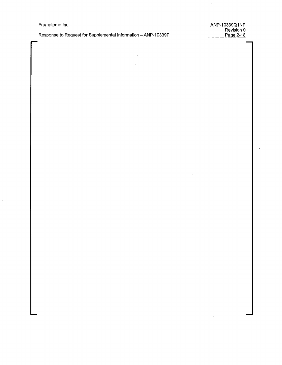Response to Request for Supplemental Information - ANP-10339P

 $\mathcal{L}$ 

ANP-10339Q1NP Revision 0 <u>Page 2-18</u>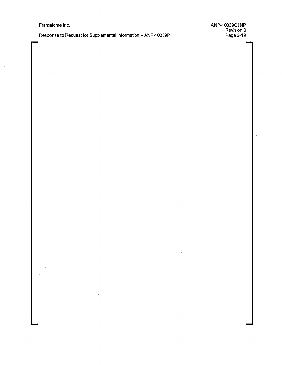|                                                                                                                                                                     |                                                                                                                                                                                                                                                                                                                                                                                                                                                             | $\mathcal{L}(\mathcal{L})$ and $\mathcal{L}(\mathcal{L})$ . |                                                                                                                                                                              |                                                                                                   |    |
|---------------------------------------------------------------------------------------------------------------------------------------------------------------------|-------------------------------------------------------------------------------------------------------------------------------------------------------------------------------------------------------------------------------------------------------------------------------------------------------------------------------------------------------------------------------------------------------------------------------------------------------------|-------------------------------------------------------------|------------------------------------------------------------------------------------------------------------------------------------------------------------------------------|---------------------------------------------------------------------------------------------------|----|
|                                                                                                                                                                     | $\mathcal{L}^{\text{max}}_{\text{max}}$ and $\mathcal{L}^{\text{max}}_{\text{max}}$ and $\mathcal{L}^{\text{max}}_{\text{max}}$                                                                                                                                                                                                                                                                                                                             |                                                             |                                                                                                                                                                              |                                                                                                   | ä, |
|                                                                                                                                                                     |                                                                                                                                                                                                                                                                                                                                                                                                                                                             |                                                             |                                                                                                                                                                              | $\mathcal{L}_{\text{max}}$ and $\mathcal{L}_{\text{max}}$ . The set of $\mathcal{L}_{\text{max}}$ |    |
|                                                                                                                                                                     |                                                                                                                                                                                                                                                                                                                                                                                                                                                             |                                                             |                                                                                                                                                                              |                                                                                                   |    |
|                                                                                                                                                                     |                                                                                                                                                                                                                                                                                                                                                                                                                                                             |                                                             |                                                                                                                                                                              |                                                                                                   |    |
|                                                                                                                                                                     |                                                                                                                                                                                                                                                                                                                                                                                                                                                             |                                                             |                                                                                                                                                                              |                                                                                                   |    |
|                                                                                                                                                                     | $\mathcal{L}(\mathcal{L}(\mathcal{L}(\mathcal{L}(\mathcal{L}(\mathcal{L}(\mathcal{L}(\mathcal{L}(\mathcal{L}(\mathcal{L}(\mathcal{L}(\mathcal{L}(\mathcal{L}(\mathcal{L}(\mathcal{L}(\mathcal{L}(\mathcal{L}(\mathcal{L}(\mathcal{L}(\mathcal{L}(\mathcal{L}(\mathcal{L}(\mathcal{L}(\mathcal{L}(\mathcal{L}(\mathcal{L}(\mathcal{L}(\mathcal{L}(\mathcal{L}(\mathcal{L}(\mathcal{L}(\mathcal{L}(\mathcal{L}(\mathcal{L}(\mathcal{L}(\mathcal{L}(\mathcal{$ |                                                             |                                                                                                                                                                              |                                                                                                   |    |
|                                                                                                                                                                     |                                                                                                                                                                                                                                                                                                                                                                                                                                                             |                                                             |                                                                                                                                                                              |                                                                                                   |    |
|                                                                                                                                                                     |                                                                                                                                                                                                                                                                                                                                                                                                                                                             |                                                             |                                                                                                                                                                              |                                                                                                   |    |
|                                                                                                                                                                     |                                                                                                                                                                                                                                                                                                                                                                                                                                                             |                                                             | $\mathcal{L}^{\mathcal{L}}(\mathcal{L}^{\mathcal{L}})$ and $\mathcal{L}^{\mathcal{L}}(\mathcal{L}^{\mathcal{L}})$ and $\mathcal{L}^{\mathcal{L}}(\mathcal{L}^{\mathcal{L}})$ |                                                                                                   |    |
|                                                                                                                                                                     |                                                                                                                                                                                                                                                                                                                                                                                                                                                             |                                                             |                                                                                                                                                                              |                                                                                                   |    |
|                                                                                                                                                                     |                                                                                                                                                                                                                                                                                                                                                                                                                                                             |                                                             |                                                                                                                                                                              |                                                                                                   |    |
|                                                                                                                                                                     |                                                                                                                                                                                                                                                                                                                                                                                                                                                             |                                                             |                                                                                                                                                                              |                                                                                                   |    |
|                                                                                                                                                                     |                                                                                                                                                                                                                                                                                                                                                                                                                                                             |                                                             |                                                                                                                                                                              |                                                                                                   |    |
|                                                                                                                                                                     |                                                                                                                                                                                                                                                                                                                                                                                                                                                             |                                                             |                                                                                                                                                                              |                                                                                                   |    |
|                                                                                                                                                                     |                                                                                                                                                                                                                                                                                                                                                                                                                                                             |                                                             |                                                                                                                                                                              |                                                                                                   |    |
|                                                                                                                                                                     |                                                                                                                                                                                                                                                                                                                                                                                                                                                             |                                                             |                                                                                                                                                                              |                                                                                                   |    |
|                                                                                                                                                                     |                                                                                                                                                                                                                                                                                                                                                                                                                                                             |                                                             |                                                                                                                                                                              |                                                                                                   |    |
|                                                                                                                                                                     |                                                                                                                                                                                                                                                                                                                                                                                                                                                             |                                                             |                                                                                                                                                                              |                                                                                                   |    |
|                                                                                                                                                                     |                                                                                                                                                                                                                                                                                                                                                                                                                                                             |                                                             | $\mathcal{L}^{\text{max}}_{\text{max}}$ and $\mathcal{L}^{\text{max}}_{\text{max}}$                                                                                          |                                                                                                   |    |
|                                                                                                                                                                     |                                                                                                                                                                                                                                                                                                                                                                                                                                                             |                                                             |                                                                                                                                                                              |                                                                                                   |    |
| $\mathcal{L}_{\mathcal{A}}$ and $\mathcal{L}_{\mathcal{A}}$ and $\mathcal{L}_{\mathcal{A}}$ and $\mathcal{L}_{\mathcal{A}}$<br>$\mathcal{O}(\mathcal{O}(\log n))$ . |                                                                                                                                                                                                                                                                                                                                                                                                                                                             |                                                             |                                                                                                                                                                              |                                                                                                   |    |
|                                                                                                                                                                     |                                                                                                                                                                                                                                                                                                                                                                                                                                                             |                                                             |                                                                                                                                                                              |                                                                                                   |    |
|                                                                                                                                                                     | $\mathcal{L}_{\text{max}}$ and $\mathcal{L}_{\text{max}}$ . The second state $\mathcal{L}_{\text{max}}$                                                                                                                                                                                                                                                                                                                                                     |                                                             |                                                                                                                                                                              |                                                                                                   |    |
|                                                                                                                                                                     |                                                                                                                                                                                                                                                                                                                                                                                                                                                             |                                                             |                                                                                                                                                                              |                                                                                                   |    |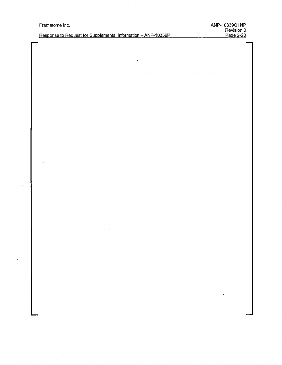$\ddot{\phantom{0}}$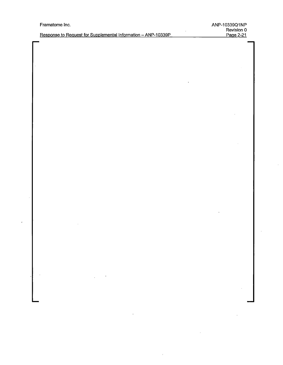Response to Request for Supplemental Information - ANP-10339P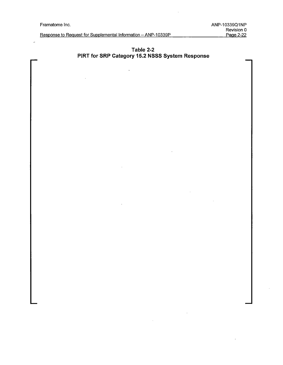Framatome Inc.

ANP-10339Q1 NP Revision 0 Page 2-22

Response to Request for Supplemental Information - ANP-10339P





 $\overline{a}$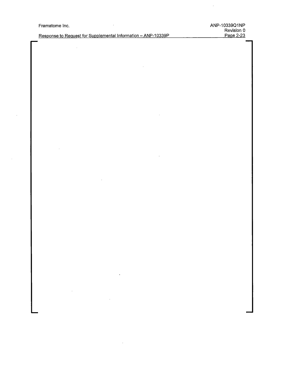Framatome Inc.

 $\sim 10$ 

Response to Request for Supplemental Information - ANP-10339P

 $\sim 10$ 

 $\overline{\mathcal{L}}$ 

 $\sim$   $\sim$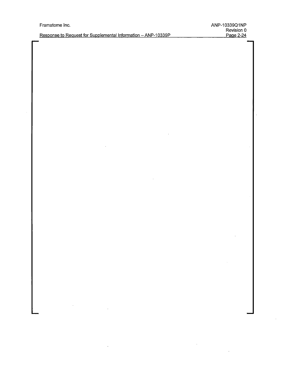| Framatome Inc.                                                | ANP-10339Q1NP |
|---------------------------------------------------------------|---------------|
|                                                               | Revision 0    |
| Response to Request for Supplemental Information - ANP-10339P | Page 2-24     |
|                                                               |               |
|                                                               |               |
|                                                               |               |
|                                                               |               |

 $\label{eq:2.1} \mathcal{L}(\mathcal{L}^{\mathcal{L}}_{\mathcal{L}}(\mathcal{L}^{\mathcal{L}}_{\mathcal{L}})) = \mathcal{L}(\mathcal{L}^{\mathcal{L}}_{\mathcal{L}}(\mathcal{L}^{\mathcal{L}}_{\mathcal{L}})) = \mathcal{L}(\mathcal{L}^{\mathcal{L}}_{\mathcal{L}}(\mathcal{L}^{\mathcal{L}}_{\mathcal{L}}))$ 

 $\label{eq:2.1} \frac{1}{2}\sum_{i=1}^n\frac{1}{2}\sum_{j=1}^n\frac{1}{2}\sum_{j=1}^n\frac{1}{2}\sum_{j=1}^n\frac{1}{2}\sum_{j=1}^n\frac{1}{2}\sum_{j=1}^n\frac{1}{2}\sum_{j=1}^n\frac{1}{2}\sum_{j=1}^n\frac{1}{2}\sum_{j=1}^n\frac{1}{2}\sum_{j=1}^n\frac{1}{2}\sum_{j=1}^n\frac{1}{2}\sum_{j=1}^n\frac{1}{2}\sum_{j=1}^n\frac{1}{2}\sum_{j=1}^n\$ 

 $\sim 10^{-10}$ 

 $\label{eq:2.1} \mathcal{L}(\mathcal{L}^{\text{max}}_{\mathcal{L}}(\mathcal{L}^{\text{max}}_{\mathcal{L}}),\mathcal{L}^{\text{max}}_{\mathcal{L}^{\text{max}}_{\mathcal{L}}})$ 

 $\mathcal{L}^{\mathcal{A}}$ 

 $\sim$   $\sim$ 

 $\label{eq:2.1} \frac{1}{2} \sum_{i=1}^n \frac{1}{2} \sum_{j=1}^n \frac{1}{2} \sum_{j=1}^n \frac{1}{2} \sum_{j=1}^n \frac{1}{2} \sum_{j=1}^n \frac{1}{2} \sum_{j=1}^n \frac{1}{2} \sum_{j=1}^n \frac{1}{2} \sum_{j=1}^n \frac{1}{2} \sum_{j=1}^n \frac{1}{2} \sum_{j=1}^n \frac{1}{2} \sum_{j=1}^n \frac{1}{2} \sum_{j=1}^n \frac{1}{2} \sum_{j=1}^n \frac{$ 

 $\label{eq:2.1} \frac{1}{\sqrt{2}}\int_{\mathbb{R}^3}\frac{1}{\sqrt{2}}\left(\frac{1}{\sqrt{2}}\right)^2\frac{1}{\sqrt{2}}\left(\frac{1}{\sqrt{2}}\right)^2\frac{1}{\sqrt{2}}\left(\frac{1}{\sqrt{2}}\right)^2\frac{1}{\sqrt{2}}\left(\frac{1}{\sqrt{2}}\right)^2\frac{1}{\sqrt{2}}\left(\frac{1}{\sqrt{2}}\right)^2\frac{1}{\sqrt{2}}\frac{1}{\sqrt{2}}\frac{1}{\sqrt{2}}\frac{1}{\sqrt{2}}\frac{1}{\sqrt{2}}\frac{1}{\sqrt{2}}$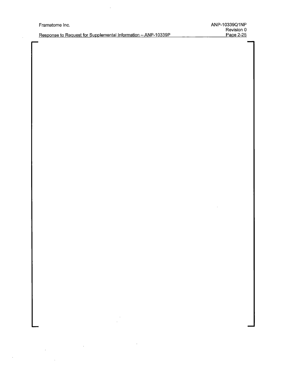Response to Request for Supplemental Information - ANP-10339P

 $\sim$ 

 $\mathcal{A}^{\mathcal{A}}$ 

 $\mathbb{R}^2$ 

 $\mathbb{R}^2$ 

 $\sim$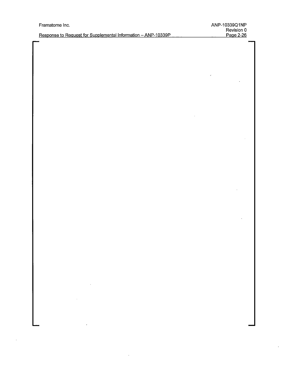| Framatome Inc.<br>Response to Request for Supplemental Information - ANP-10339P                                                    | ANP-10339Q1NP<br>Revision 0 |
|------------------------------------------------------------------------------------------------------------------------------------|-----------------------------|
|                                                                                                                                    | Page 2-26                   |
|                                                                                                                                    |                             |
|                                                                                                                                    |                             |
|                                                                                                                                    |                             |
|                                                                                                                                    |                             |
|                                                                                                                                    |                             |
|                                                                                                                                    |                             |
|                                                                                                                                    |                             |
|                                                                                                                                    |                             |
|                                                                                                                                    |                             |
|                                                                                                                                    |                             |
|                                                                                                                                    |                             |
|                                                                                                                                    |                             |
|                                                                                                                                    |                             |
|                                                                                                                                    |                             |
|                                                                                                                                    |                             |
|                                                                                                                                    |                             |
|                                                                                                                                    |                             |
|                                                                                                                                    |                             |
|                                                                                                                                    |                             |
|                                                                                                                                    |                             |
|                                                                                                                                    |                             |
|                                                                                                                                    |                             |
|                                                                                                                                    |                             |
|                                                                                                                                    |                             |
|                                                                                                                                    |                             |
|                                                                                                                                    |                             |
|                                                                                                                                    |                             |
| $\mathcal{L}_{\text{max}}$ and $\mathcal{L}_{\text{max}}$ . The $\mathcal{L}_{\text{max}}$                                         |                             |
|                                                                                                                                    |                             |
| $\mathcal{L}(\mathcal{L}^{\mathcal{L}})$ and $\mathcal{L}(\mathcal{L}^{\mathcal{L}})$ and $\mathcal{L}(\mathcal{L}^{\mathcal{L}})$ |                             |
|                                                                                                                                    |                             |
|                                                                                                                                    |                             |

 $\mathcal{L}^{\text{max}}$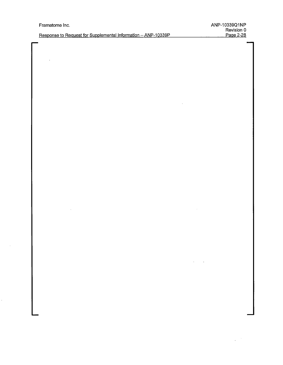| Framatome Inc.<br>Response to Request for Supplemental Information - ANP-10339P | ANP-10339Q1NP<br>Revision 0<br>Page 2-28 |
|---------------------------------------------------------------------------------|------------------------------------------|
|                                                                                 |                                          |
|                                                                                 |                                          |
|                                                                                 |                                          |
|                                                                                 |                                          |
|                                                                                 |                                          |
|                                                                                 |                                          |
|                                                                                 |                                          |
|                                                                                 |                                          |
|                                                                                 |                                          |
|                                                                                 |                                          |
|                                                                                 |                                          |
| $\lambda$                                                                       | $\bar{\gamma}$                           |
|                                                                                 |                                          |
|                                                                                 |                                          |
|                                                                                 |                                          |
|                                                                                 | and the control of                       |

 $\frac{1}{\sqrt{2}}$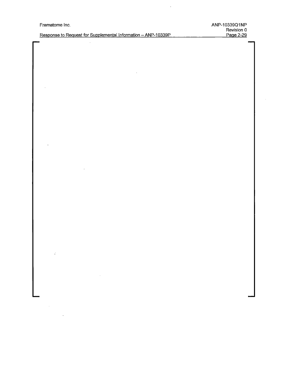$\overline{a}$ 

 $\bar{\mathcal{A}}$ 

 $\bar{\mathcal{A}}$ 

 $\mathbb{Z}$ 

 $\sim$  $\ddot{\phantom{a}}$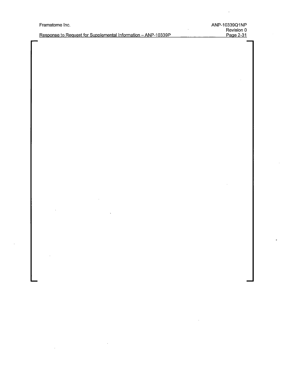| ANP-10339Q1NP<br>Revision 0 |
|-----------------------------|
| Page 2-31                   |
|                             |
|                             |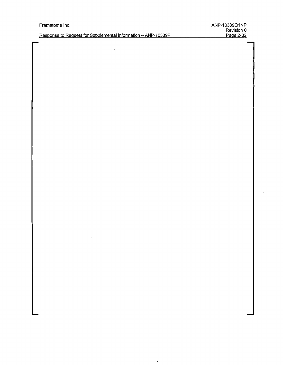$\cdot$ 

Response to Request for Supplemental Information - ANP-10339P

 $\ddot{\phantom{a}}$ 

 $\bar{\mathbf{c}}$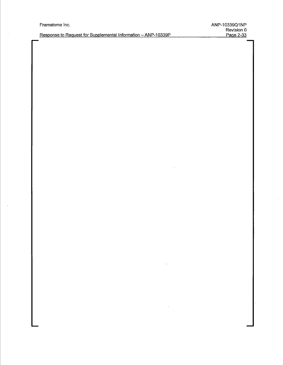$\sim$ 

Response to Request for Supplemental Information - ANP-10339P

 $\sim$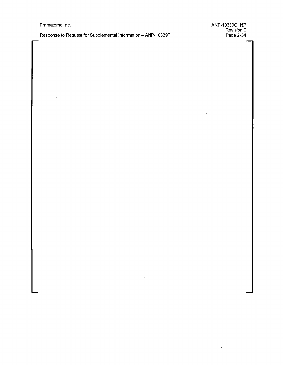$\mathcal{L}$ 

 $\bar{z}$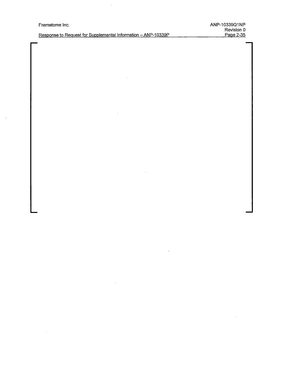$\bar{\mathcal{A}}$ 

 $\bar{\gamma}$ 

 $\mathcal{L}_{\mathcal{L}}$ 

 $\ddot{\phantom{1}}$ 

 $\sim$ 

 $\bar{z}$ 

 $\mathcal{A}^{\mathcal{A}}$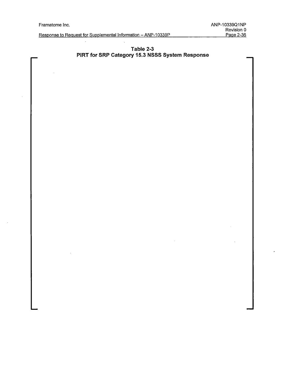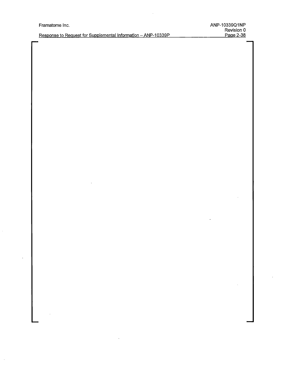$\ddot{\phantom{a}}$ 

Response to Request for Supplemental Information - ANP-10339P

 $\ddot{\phantom{a}}$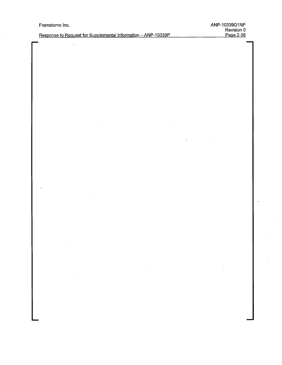l,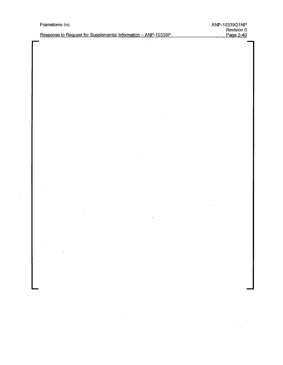|                                                                                             | $\sim 100$                                                                                                                                                                                                                                                                                                                                                                                                                                                  |
|---------------------------------------------------------------------------------------------|-------------------------------------------------------------------------------------------------------------------------------------------------------------------------------------------------------------------------------------------------------------------------------------------------------------------------------------------------------------------------------------------------------------------------------------------------------------|
|                                                                                             |                                                                                                                                                                                                                                                                                                                                                                                                                                                             |
|                                                                                             |                                                                                                                                                                                                                                                                                                                                                                                                                                                             |
|                                                                                             |                                                                                                                                                                                                                                                                                                                                                                                                                                                             |
|                                                                                             |                                                                                                                                                                                                                                                                                                                                                                                                                                                             |
|                                                                                             |                                                                                                                                                                                                                                                                                                                                                                                                                                                             |
|                                                                                             |                                                                                                                                                                                                                                                                                                                                                                                                                                                             |
|                                                                                             |                                                                                                                                                                                                                                                                                                                                                                                                                                                             |
|                                                                                             |                                                                                                                                                                                                                                                                                                                                                                                                                                                             |
|                                                                                             |                                                                                                                                                                                                                                                                                                                                                                                                                                                             |
|                                                                                             |                                                                                                                                                                                                                                                                                                                                                                                                                                                             |
|                                                                                             |                                                                                                                                                                                                                                                                                                                                                                                                                                                             |
|                                                                                             |                                                                                                                                                                                                                                                                                                                                                                                                                                                             |
|                                                                                             | $\mathcal{L}(\mathcal{L}^{\mathcal{L}})$ and $\mathcal{L}^{\mathcal{L}}$ are the set of the set of $\mathcal{L}^{\mathcal{L}}$                                                                                                                                                                                                                                                                                                                              |
|                                                                                             |                                                                                                                                                                                                                                                                                                                                                                                                                                                             |
|                                                                                             |                                                                                                                                                                                                                                                                                                                                                                                                                                                             |
|                                                                                             |                                                                                                                                                                                                                                                                                                                                                                                                                                                             |
|                                                                                             |                                                                                                                                                                                                                                                                                                                                                                                                                                                             |
|                                                                                             |                                                                                                                                                                                                                                                                                                                                                                                                                                                             |
|                                                                                             |                                                                                                                                                                                                                                                                                                                                                                                                                                                             |
|                                                                                             |                                                                                                                                                                                                                                                                                                                                                                                                                                                             |
|                                                                                             | $\mathcal{L}^{\mathcal{L}}(\mathcal{L}^{\mathcal{L}})$ and $\mathcal{L}^{\mathcal{L}}(\mathcal{L}^{\mathcal{L}})$ and $\mathcal{L}^{\mathcal{L}}(\mathcal{L}^{\mathcal{L}})$ . In the contribution of                                                                                                                                                                                                                                                       |
|                                                                                             |                                                                                                                                                                                                                                                                                                                                                                                                                                                             |
|                                                                                             |                                                                                                                                                                                                                                                                                                                                                                                                                                                             |
|                                                                                             |                                                                                                                                                                                                                                                                                                                                                                                                                                                             |
|                                                                                             |                                                                                                                                                                                                                                                                                                                                                                                                                                                             |
|                                                                                             |                                                                                                                                                                                                                                                                                                                                                                                                                                                             |
| $\mathcal{A}^{\mathcal{A}}$ and $\mathcal{A}^{\mathcal{A}}$ and $\mathcal{A}^{\mathcal{A}}$ |                                                                                                                                                                                                                                                                                                                                                                                                                                                             |
|                                                                                             |                                                                                                                                                                                                                                                                                                                                                                                                                                                             |
|                                                                                             |                                                                                                                                                                                                                                                                                                                                                                                                                                                             |
|                                                                                             |                                                                                                                                                                                                                                                                                                                                                                                                                                                             |
|                                                                                             | $\label{eq:2.1} \frac{1}{\sqrt{2}}\int_{\mathbb{R}^3} \frac{1}{\sqrt{2}}\left(\frac{1}{\sqrt{2}}\right)^2\left(\frac{1}{\sqrt{2}}\right)^2\left(\frac{1}{\sqrt{2}}\right)^2\left(\frac{1}{\sqrt{2}}\right)^2\left(\frac{1}{\sqrt{2}}\right)^2\left(\frac{1}{\sqrt{2}}\right)^2\left(\frac{1}{\sqrt{2}}\right)^2\left(\frac{1}{\sqrt{2}}\right)^2\left(\frac{1}{\sqrt{2}}\right)^2\left(\frac{1}{\sqrt{2}}\right)^2\left(\frac{1}{\sqrt{2}}\right)^2\left(\$ |
|                                                                                             |                                                                                                                                                                                                                                                                                                                                                                                                                                                             |
|                                                                                             |                                                                                                                                                                                                                                                                                                                                                                                                                                                             |
|                                                                                             |                                                                                                                                                                                                                                                                                                                                                                                                                                                             |
|                                                                                             |                                                                                                                                                                                                                                                                                                                                                                                                                                                             |
|                                                                                             |                                                                                                                                                                                                                                                                                                                                                                                                                                                             |
|                                                                                             |                                                                                                                                                                                                                                                                                                                                                                                                                                                             |
| $\sim 10^{-10}$                                                                             |                                                                                                                                                                                                                                                                                                                                                                                                                                                             |
| and the state of                                                                            |                                                                                                                                                                                                                                                                                                                                                                                                                                                             |
|                                                                                             |                                                                                                                                                                                                                                                                                                                                                                                                                                                             |
|                                                                                             |                                                                                                                                                                                                                                                                                                                                                                                                                                                             |
|                                                                                             |                                                                                                                                                                                                                                                                                                                                                                                                                                                             |
|                                                                                             |                                                                                                                                                                                                                                                                                                                                                                                                                                                             |
|                                                                                             |                                                                                                                                                                                                                                                                                                                                                                                                                                                             |
|                                                                                             |                                                                                                                                                                                                                                                                                                                                                                                                                                                             |
|                                                                                             |                                                                                                                                                                                                                                                                                                                                                                                                                                                             |
|                                                                                             |                                                                                                                                                                                                                                                                                                                                                                                                                                                             |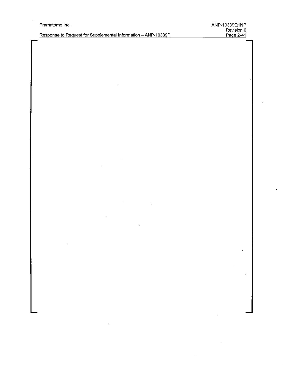| Framatome Inc.                                                | ANP-10339Q1NP<br>Revision 0 |
|---------------------------------------------------------------|-----------------------------|
| Response to Request for Supplemental Information - ANP-10339P | Page 2-41                   |
|                                                               |                             |

 $\mathcal{L}(\mathcal{L})$  and  $\mathcal{L}(\mathcal{L})$  and  $\mathcal{L}(\mathcal{L})$  and  $\mathcal{L}(\mathcal{L})$  and  $\mathcal{L}(\mathcal{L})$ 

 $\mathcal{L}(\mathcal{L})$  and  $\mathcal{L}(\mathcal{L})$  . The set of  $\mathcal{L}(\mathcal{L})$ 

 $\mathcal{L}_{\text{max}}$  and  $\mathcal{L}_{\text{max}}$ 

 $\label{eq:2.1} \mathcal{L}(\mathcal{L}^{\mathcal{L}}_{\mathcal{L}}(\mathcal{L}^{\mathcal{L}}_{\mathcal{L}})) = \mathcal{L}(\mathcal{L}^{\mathcal{L}}_{\mathcal{L}}(\mathcal{L}^{\mathcal{L}}_{\mathcal{L}})) = \mathcal{L}(\mathcal{L}^{\mathcal{L}}_{\mathcal{L}}(\mathcal{L}^{\mathcal{L}}_{\mathcal{L}}))$ 

 $\mathcal{L}(\mathcal{L}^{\text{max}})$  and  $\mathcal{L}(\mathcal{L}^{\text{max}})$ 

 $\frac{1}{2}$ 

 $\hat{\boldsymbol{\beta}}$ 

 $\mathcal{L}^{\text{max}}_{\text{max}}$  and  $\mathcal{L}^{\text{max}}_{\text{max}}$ 

 $\bar{\psi}$ 

 $\label{eq:2.1} \frac{1}{\sqrt{2}}\int_{\mathbb{R}^3}\frac{1}{\sqrt{2}}\left(\frac{1}{\sqrt{2}}\right)^2\left(\frac{1}{\sqrt{2}}\right)^2\left(\frac{1}{\sqrt{2}}\right)^2\left(\frac{1}{\sqrt{2}}\right)^2\left(\frac{1}{\sqrt{2}}\right)^2\left(\frac{1}{\sqrt{2}}\right)^2\left(\frac{1}{\sqrt{2}}\right)^2.$ 

 $\label{eq:2.1} \frac{1}{\sqrt{2}}\int_{\mathbb{R}^3}\frac{1}{\sqrt{2}}\left(\frac{1}{\sqrt{2}}\right)^2\frac{1}{\sqrt{2}}\left(\frac{1}{\sqrt{2}}\right)^2\frac{1}{\sqrt{2}}\left(\frac{1}{\sqrt{2}}\right)^2\frac{1}{\sqrt{2}}\left(\frac{1}{\sqrt{2}}\right)^2.$ 

 $\sim 10$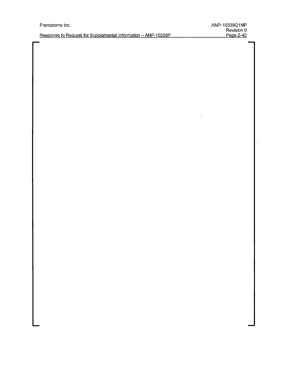$\bar{\mathcal{A}}$ 

 $\sim 10^{-11}$ 

 $\mathbf{r}$ 

 $\sim 10$ 

 $\sim$   $\sim$ 

 $\bar{\mathcal{A}}$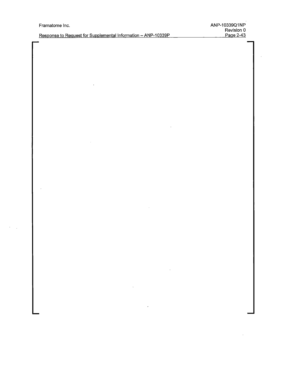$\sim$  .

 $\mathcal{L}_{\mathcal{A}}$ 

 $\ddot{\phantom{a}}$  $\overline{a}$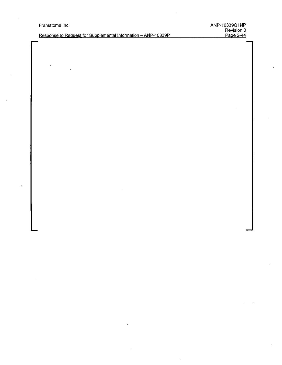| $\mathcal{L}(\mathcal{A})$ and $\mathcal{L}(\mathcal{A})$ and $\mathcal{L}(\mathcal{A})$<br>$\mathcal{L}(\mathcal{L}^{\mathcal{L}})$ and $\mathcal{L}^{\mathcal{L}}$ and $\mathcal{L}^{\mathcal{L}}$ and $\mathcal{L}^{\mathcal{L}}$ |                                                                                                                                      |  |
|--------------------------------------------------------------------------------------------------------------------------------------------------------------------------------------------------------------------------------------|--------------------------------------------------------------------------------------------------------------------------------------|--|
|                                                                                                                                                                                                                                      |                                                                                                                                      |  |
|                                                                                                                                                                                                                                      |                                                                                                                                      |  |
|                                                                                                                                                                                                                                      |                                                                                                                                      |  |
|                                                                                                                                                                                                                                      |                                                                                                                                      |  |
|                                                                                                                                                                                                                                      |                                                                                                                                      |  |
|                                                                                                                                                                                                                                      |                                                                                                                                      |  |
|                                                                                                                                                                                                                                      |                                                                                                                                      |  |
|                                                                                                                                                                                                                                      |                                                                                                                                      |  |
|                                                                                                                                                                                                                                      | $\mathcal{L}(\mathcal{L}(\mathcal{L}))$ and $\mathcal{L}(\mathcal{L}(\mathcal{L}))$ . The contribution of $\mathcal{L}(\mathcal{L})$ |  |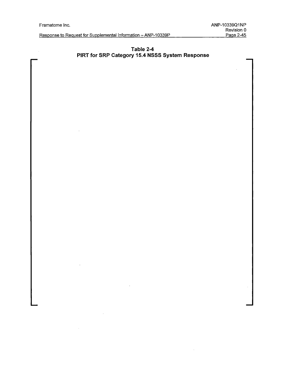## **Table 2-4 PIRT for SRP Category 15.4 NSSS System Response**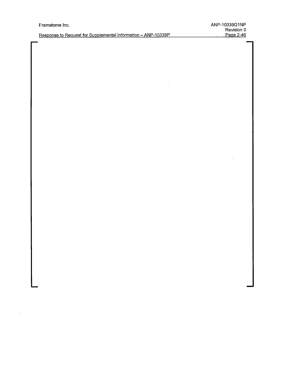$\cdot$ 

Response to Request for Supplemental Information - ANP-10339P

 $\mathbb{R}^2$ 

 $\mathcal{L}_{\rm{eff}}$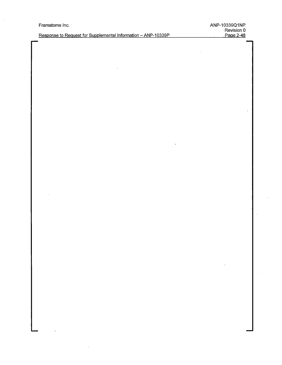$\mathcal{L}$ 

 $\bar{\mathcal{A}}$ 

 $\bar{\mathcal{A}}$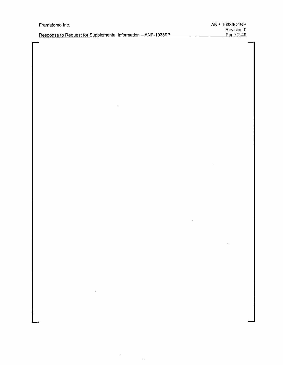$\sim$ 

 $\label{eq:2} \frac{1}{\sqrt{2}}\int_{0}^{\infty}\frac{1}{\sqrt{2\pi}}\left(\frac{1}{\sqrt{2}}\right)^{2}d\theta.$ 

 $\mathcal{A}$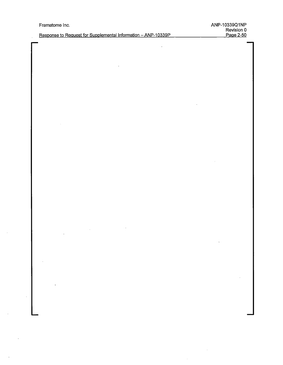$\bar{z}$ 

 $\mathcal{L}^{\mathcal{A}}$ 

| and the state of the state                                                                                                                                                                                                                                                                                                                                                                                                                                  |                              |
|-------------------------------------------------------------------------------------------------------------------------------------------------------------------------------------------------------------------------------------------------------------------------------------------------------------------------------------------------------------------------------------------------------------------------------------------------------------|------------------------------|
|                                                                                                                                                                                                                                                                                                                                                                                                                                                             |                              |
|                                                                                                                                                                                                                                                                                                                                                                                                                                                             |                              |
| $\mathcal{L}(\mathcal{L}(\mathcal{L}(\mathcal{L}(\mathcal{L}(\mathcal{L}(\mathcal{L}(\mathcal{L}(\mathcal{L}(\mathcal{L}(\mathcal{L}(\mathcal{L}(\mathcal{L}(\mathcal{L}(\mathcal{L}(\mathcal{L}(\mathcal{L}(\mathcal{L}(\mathcal{L}(\mathcal{L}(\mathcal{L}(\mathcal{L}(\mathcal{L}(\mathcal{L}(\mathcal{L}(\mathcal{L}(\mathcal{L}(\mathcal{L}(\mathcal{L}(\mathcal{L}(\mathcal{L}(\mathcal{L}(\mathcal{L}(\mathcal{L}(\mathcal{L}(\mathcal{L}(\mathcal{$ |                              |
| $\label{eq:2.1} \mathcal{L}(\mathcal{A}) = \mathcal{L}(\mathcal{A}) = \mathcal{L}(\mathcal{A}) = \mathcal{L}(\mathcal{A}) = \mathcal{L}(\mathcal{A})$                                                                                                                                                                                                                                                                                                       |                              |
|                                                                                                                                                                                                                                                                                                                                                                                                                                                             |                              |
|                                                                                                                                                                                                                                                                                                                                                                                                                                                             | $\mathcal{L}(\mathcal{F})$ . |
|                                                                                                                                                                                                                                                                                                                                                                                                                                                             |                              |
|                                                                                                                                                                                                                                                                                                                                                                                                                                                             |                              |
|                                                                                                                                                                                                                                                                                                                                                                                                                                                             |                              |
|                                                                                                                                                                                                                                                                                                                                                                                                                                                             |                              |
| $\label{eq:2.1} \frac{1}{2}\sum_{i=1}^n\frac{1}{2}\sum_{j=1}^n\frac{1}{2}\sum_{j=1}^n\frac{1}{2}\sum_{j=1}^n\frac{1}{2}\sum_{j=1}^n\frac{1}{2}\sum_{j=1}^n\frac{1}{2}\sum_{j=1}^n\frac{1}{2}\sum_{j=1}^n\frac{1}{2}\sum_{j=1}^n\frac{1}{2}\sum_{j=1}^n\frac{1}{2}\sum_{j=1}^n\frac{1}{2}\sum_{j=1}^n\frac{1}{2}\sum_{j=1}^n\frac{1}{2}\sum_{j=1}^n\$                                                                                                        | $\sim$                       |
|                                                                                                                                                                                                                                                                                                                                                                                                                                                             |                              |
| ł,                                                                                                                                                                                                                                                                                                                                                                                                                                                          |                              |
| $\blacksquare$                                                                                                                                                                                                                                                                                                                                                                                                                                              |                              |
|                                                                                                                                                                                                                                                                                                                                                                                                                                                             |                              |

 $\mathcal{L}$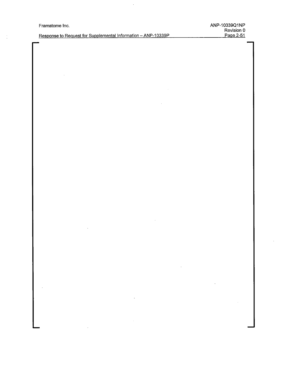Framatome Inc.

Response to Request for Supplemental Information - ANP-10339P

 $\bar{z}$ 

 $\bar{z}$  $\sim$  $\mathbb{R}^2$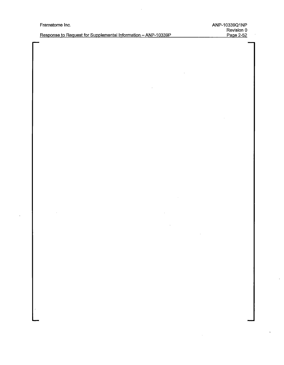т.

|                                                                                                                                                                                                                                                                                                                |  | $\label{eq:2.1} \mathcal{L}_{\mathcal{A}}(x) = \mathcal{L}_{\mathcal{A}}(x) + \mathcal{L}_{\mathcal{A}}(x) + \mathcal{L}_{\mathcal{A}}(x)$                                                                                                                          |                                                                                                                                                                                                                                                                                                                                                              |
|----------------------------------------------------------------------------------------------------------------------------------------------------------------------------------------------------------------------------------------------------------------------------------------------------------------|--|---------------------------------------------------------------------------------------------------------------------------------------------------------------------------------------------------------------------------------------------------------------------|--------------------------------------------------------------------------------------------------------------------------------------------------------------------------------------------------------------------------------------------------------------------------------------------------------------------------------------------------------------|
|                                                                                                                                                                                                                                                                                                                |  | $\mathcal{L}^{\mathcal{L}}(\mathcal{L}^{\mathcal{L}})$ and $\mathcal{L}^{\mathcal{L}}(\mathcal{L}^{\mathcal{L}})$ and $\mathcal{L}^{\mathcal{L}}(\mathcal{L}^{\mathcal{L}})$                                                                                        |                                                                                                                                                                                                                                                                                                                                                              |
|                                                                                                                                                                                                                                                                                                                |  |                                                                                                                                                                                                                                                                     |                                                                                                                                                                                                                                                                                                                                                              |
|                                                                                                                                                                                                                                                                                                                |  |                                                                                                                                                                                                                                                                     |                                                                                                                                                                                                                                                                                                                                                              |
|                                                                                                                                                                                                                                                                                                                |  |                                                                                                                                                                                                                                                                     |                                                                                                                                                                                                                                                                                                                                                              |
|                                                                                                                                                                                                                                                                                                                |  |                                                                                                                                                                                                                                                                     |                                                                                                                                                                                                                                                                                                                                                              |
|                                                                                                                                                                                                                                                                                                                |  |                                                                                                                                                                                                                                                                     |                                                                                                                                                                                                                                                                                                                                                              |
|                                                                                                                                                                                                                                                                                                                |  |                                                                                                                                                                                                                                                                     |                                                                                                                                                                                                                                                                                                                                                              |
|                                                                                                                                                                                                                                                                                                                |  | $\mathcal{L}^{\text{max}}_{\text{max}}$ , where $\mathcal{L}^{\text{max}}_{\text{max}}$                                                                                                                                                                             |                                                                                                                                                                                                                                                                                                                                                              |
| $\label{eq:2.1} \mathcal{L}(\mathcal{L}^{\mathcal{L}}_{\mathcal{L}}(\mathcal{L}^{\mathcal{L}}_{\mathcal{L}})) = \mathcal{L}(\mathcal{L}^{\mathcal{L}}_{\mathcal{L}}(\mathcal{L}^{\mathcal{L}}_{\mathcal{L}})) = \mathcal{L}(\mathcal{L}^{\mathcal{L}}_{\mathcal{L}}(\mathcal{L}^{\mathcal{L}}_{\mathcal{L}}))$ |  | $\label{eq:2.1} \frac{1}{\sqrt{2}}\int_{\mathbb{R}^3}\frac{1}{\sqrt{2}}\left(\frac{1}{\sqrt{2}}\right)^2\frac{1}{\sqrt{2}}\left(\frac{1}{\sqrt{2}}\right)^2\frac{1}{\sqrt{2}}\left(\frac{1}{\sqrt{2}}\right)^2\frac{1}{\sqrt{2}}\left(\frac{1}{\sqrt{2}}\right)^2.$ |                                                                                                                                                                                                                                                                                                                                                              |
|                                                                                                                                                                                                                                                                                                                |  |                                                                                                                                                                                                                                                                     | $\label{eq:2.1} \frac{1}{2} \sum_{i=1}^n \frac{1}{2} \sum_{j=1}^n \frac{1}{2} \sum_{j=1}^n \frac{1}{2} \sum_{j=1}^n \frac{1}{2} \sum_{j=1}^n \frac{1}{2} \sum_{j=1}^n \frac{1}{2} \sum_{j=1}^n \frac{1}{2} \sum_{j=1}^n \frac{1}{2} \sum_{j=1}^n \frac{1}{2} \sum_{j=1}^n \frac{1}{2} \sum_{j=1}^n \frac{1}{2} \sum_{j=1}^n \frac{1}{2} \sum_{j=1}^n \frac{$ |
|                                                                                                                                                                                                                                                                                                                |  |                                                                                                                                                                                                                                                                     |                                                                                                                                                                                                                                                                                                                                                              |
|                                                                                                                                                                                                                                                                                                                |  |                                                                                                                                                                                                                                                                     |                                                                                                                                                                                                                                                                                                                                                              |
|                                                                                                                                                                                                                                                                                                                |  |                                                                                                                                                                                                                                                                     |                                                                                                                                                                                                                                                                                                                                                              |
|                                                                                                                                                                                                                                                                                                                |  |                                                                                                                                                                                                                                                                     |                                                                                                                                                                                                                                                                                                                                                              |

 $\sim$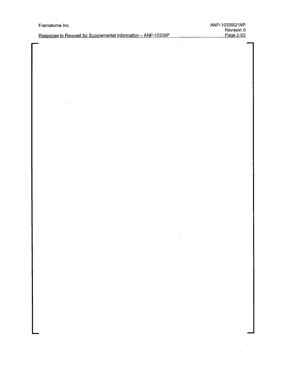|                                                                                                                                                                                                                                                                                                                                                              | $\mathcal{L}^{\text{max}}_{\text{max}}$ , $\mathcal{L}^{\text{max}}_{\text{max}}$                                                                        | $\label{eq:2.1} \mathcal{L}(\mathcal{L}^{\mathcal{L}}_{\mathcal{L}}(\mathcal{L}^{\mathcal{L}}_{\mathcal{L}})) \leq \mathcal{L}(\mathcal{L}^{\mathcal{L}}_{\mathcal{L}}(\mathcal{L}^{\mathcal{L}}_{\mathcal{L}})) \leq \mathcal{L}(\mathcal{L}^{\mathcal{L}}_{\mathcal{L}}(\mathcal{L}^{\mathcal{L}}_{\mathcal{L}}))$ |                                                                                                                                                                                                                                                                                                              |
|--------------------------------------------------------------------------------------------------------------------------------------------------------------------------------------------------------------------------------------------------------------------------------------------------------------------------------------------------------------|----------------------------------------------------------------------------------------------------------------------------------------------------------|----------------------------------------------------------------------------------------------------------------------------------------------------------------------------------------------------------------------------------------------------------------------------------------------------------------------|--------------------------------------------------------------------------------------------------------------------------------------------------------------------------------------------------------------------------------------------------------------------------------------------------------------|
|                                                                                                                                                                                                                                                                                                                                                              |                                                                                                                                                          |                                                                                                                                                                                                                                                                                                                      |                                                                                                                                                                                                                                                                                                              |
|                                                                                                                                                                                                                                                                                                                                                              |                                                                                                                                                          |                                                                                                                                                                                                                                                                                                                      |                                                                                                                                                                                                                                                                                                              |
|                                                                                                                                                                                                                                                                                                                                                              |                                                                                                                                                          |                                                                                                                                                                                                                                                                                                                      |                                                                                                                                                                                                                                                                                                              |
|                                                                                                                                                                                                                                                                                                                                                              |                                                                                                                                                          |                                                                                                                                                                                                                                                                                                                      |                                                                                                                                                                                                                                                                                                              |
|                                                                                                                                                                                                                                                                                                                                                              | $\mathcal{L}(\mathcal{L}(\mathcal{L}))$ and $\mathcal{L}(\mathcal{L}(\mathcal{L}))$ . The contribution of the contribution of $\mathcal{L}(\mathcal{L})$ |                                                                                                                                                                                                                                                                                                                      |                                                                                                                                                                                                                                                                                                              |
| $\label{eq:2.1} \frac{1}{2} \sum_{i=1}^n \frac{1}{2} \sum_{i=1}^n \frac{1}{2} \sum_{i=1}^n \frac{1}{2} \sum_{i=1}^n \frac{1}{2} \sum_{i=1}^n \frac{1}{2} \sum_{i=1}^n \frac{1}{2} \sum_{i=1}^n \frac{1}{2} \sum_{i=1}^n \frac{1}{2} \sum_{i=1}^n \frac{1}{2} \sum_{i=1}^n \frac{1}{2} \sum_{i=1}^n \frac{1}{2} \sum_{i=1}^n \frac{1}{2} \sum_{i=1}^n \frac{$ |                                                                                                                                                          |                                                                                                                                                                                                                                                                                                                      |                                                                                                                                                                                                                                                                                                              |
|                                                                                                                                                                                                                                                                                                                                                              |                                                                                                                                                          |                                                                                                                                                                                                                                                                                                                      |                                                                                                                                                                                                                                                                                                              |
|                                                                                                                                                                                                                                                                                                                                                              |                                                                                                                                                          |                                                                                                                                                                                                                                                                                                                      |                                                                                                                                                                                                                                                                                                              |
|                                                                                                                                                                                                                                                                                                                                                              |                                                                                                                                                          |                                                                                                                                                                                                                                                                                                                      |                                                                                                                                                                                                                                                                                                              |
|                                                                                                                                                                                                                                                                                                                                                              |                                                                                                                                                          |                                                                                                                                                                                                                                                                                                                      |                                                                                                                                                                                                                                                                                                              |
|                                                                                                                                                                                                                                                                                                                                                              |                                                                                                                                                          |                                                                                                                                                                                                                                                                                                                      |                                                                                                                                                                                                                                                                                                              |
|                                                                                                                                                                                                                                                                                                                                                              |                                                                                                                                                          |                                                                                                                                                                                                                                                                                                                      |                                                                                                                                                                                                                                                                                                              |
|                                                                                                                                                                                                                                                                                                                                                              |                                                                                                                                                          |                                                                                                                                                                                                                                                                                                                      | $\label{eq:2.1} \mathcal{L}(\mathcal{L}^{\text{max}}_{\mathcal{L}}(\mathcal{L}^{\text{max}}_{\mathcal{L}}))\leq \mathcal{L}(\mathcal{L}^{\text{max}}_{\mathcal{L}}(\mathcal{L}^{\text{max}}_{\mathcal{L}}))\leq \mathcal{L}(\mathcal{L}^{\text{max}}_{\mathcal{L}}(\mathcal{L}^{\text{max}}_{\mathcal{L}}))$ |
|                                                                                                                                                                                                                                                                                                                                                              |                                                                                                                                                          |                                                                                                                                                                                                                                                                                                                      |                                                                                                                                                                                                                                                                                                              |
|                                                                                                                                                                                                                                                                                                                                                              |                                                                                                                                                          |                                                                                                                                                                                                                                                                                                                      |                                                                                                                                                                                                                                                                                                              |
|                                                                                                                                                                                                                                                                                                                                                              |                                                                                                                                                          |                                                                                                                                                                                                                                                                                                                      |                                                                                                                                                                                                                                                                                                              |
|                                                                                                                                                                                                                                                                                                                                                              |                                                                                                                                                          |                                                                                                                                                                                                                                                                                                                      | $\mathcal{L}^{\mathcal{L}}(\mathcal{L}^{\mathcal{L}})$ and $\mathcal{L}^{\mathcal{L}}(\mathcal{L}^{\mathcal{L}})$ . The contribution                                                                                                                                                                         |
|                                                                                                                                                                                                                                                                                                                                                              |                                                                                                                                                          |                                                                                                                                                                                                                                                                                                                      |                                                                                                                                                                                                                                                                                                              |
|                                                                                                                                                                                                                                                                                                                                                              |                                                                                                                                                          | $\mathcal{L}(\mathcal{L}(\mathcal{L}))$ and $\mathcal{L}(\mathcal{L}(\mathcal{L}))$ . The set of $\mathcal{L}(\mathcal{L})$                                                                                                                                                                                          |                                                                                                                                                                                                                                                                                                              |
|                                                                                                                                                                                                                                                                                                                                                              |                                                                                                                                                          |                                                                                                                                                                                                                                                                                                                      |                                                                                                                                                                                                                                                                                                              |
| $\sim 200$ km s $^{-1}$                                                                                                                                                                                                                                                                                                                                      | $\mathcal{L}^{\text{max}}_{\text{max}}$                                                                                                                  |                                                                                                                                                                                                                                                                                                                      |                                                                                                                                                                                                                                                                                                              |
|                                                                                                                                                                                                                                                                                                                                                              |                                                                                                                                                          |                                                                                                                                                                                                                                                                                                                      |                                                                                                                                                                                                                                                                                                              |
|                                                                                                                                                                                                                                                                                                                                                              |                                                                                                                                                          |                                                                                                                                                                                                                                                                                                                      |                                                                                                                                                                                                                                                                                                              |
|                                                                                                                                                                                                                                                                                                                                                              |                                                                                                                                                          |                                                                                                                                                                                                                                                                                                                      |                                                                                                                                                                                                                                                                                                              |
|                                                                                                                                                                                                                                                                                                                                                              |                                                                                                                                                          |                                                                                                                                                                                                                                                                                                                      |                                                                                                                                                                                                                                                                                                              |
|                                                                                                                                                                                                                                                                                                                                                              |                                                                                                                                                          |                                                                                                                                                                                                                                                                                                                      |                                                                                                                                                                                                                                                                                                              |
|                                                                                                                                                                                                                                                                                                                                                              |                                                                                                                                                          |                                                                                                                                                                                                                                                                                                                      |                                                                                                                                                                                                                                                                                                              |
|                                                                                                                                                                                                                                                                                                                                                              |                                                                                                                                                          |                                                                                                                                                                                                                                                                                                                      |                                                                                                                                                                                                                                                                                                              |
|                                                                                                                                                                                                                                                                                                                                                              |                                                                                                                                                          |                                                                                                                                                                                                                                                                                                                      |                                                                                                                                                                                                                                                                                                              |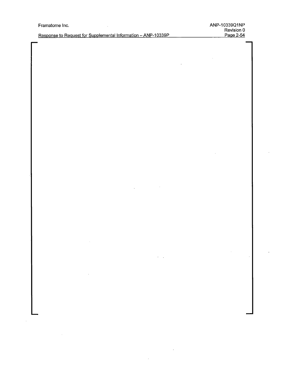| Framatome Inc.<br>Response to Request for Supplemental Information - ANP-10339P                                                                                                                                                                                                                                                                                                                                                                             | ANP-10339Q1NP<br>Revision 0<br>Page 2-54 |
|-------------------------------------------------------------------------------------------------------------------------------------------------------------------------------------------------------------------------------------------------------------------------------------------------------------------------------------------------------------------------------------------------------------------------------------------------------------|------------------------------------------|
|                                                                                                                                                                                                                                                                                                                                                                                                                                                             |                                          |
|                                                                                                                                                                                                                                                                                                                                                                                                                                                             |                                          |
|                                                                                                                                                                                                                                                                                                                                                                                                                                                             |                                          |
|                                                                                                                                                                                                                                                                                                                                                                                                                                                             |                                          |
|                                                                                                                                                                                                                                                                                                                                                                                                                                                             |                                          |
|                                                                                                                                                                                                                                                                                                                                                                                                                                                             |                                          |
|                                                                                                                                                                                                                                                                                                                                                                                                                                                             |                                          |
|                                                                                                                                                                                                                                                                                                                                                                                                                                                             |                                          |
|                                                                                                                                                                                                                                                                                                                                                                                                                                                             |                                          |
|                                                                                                                                                                                                                                                                                                                                                                                                                                                             |                                          |
|                                                                                                                                                                                                                                                                                                                                                                                                                                                             |                                          |
|                                                                                                                                                                                                                                                                                                                                                                                                                                                             |                                          |
|                                                                                                                                                                                                                                                                                                                                                                                                                                                             |                                          |
|                                                                                                                                                                                                                                                                                                                                                                                                                                                             |                                          |
| $\ddot{\phantom{a}}$                                                                                                                                                                                                                                                                                                                                                                                                                                        |                                          |
|                                                                                                                                                                                                                                                                                                                                                                                                                                                             |                                          |
|                                                                                                                                                                                                                                                                                                                                                                                                                                                             |                                          |
|                                                                                                                                                                                                                                                                                                                                                                                                                                                             |                                          |
|                                                                                                                                                                                                                                                                                                                                                                                                                                                             |                                          |
| $\mathcal{L}(\mathcal{L}^{\mathcal{L}})$ and $\mathcal{L}(\mathcal{L}^{\mathcal{L}})$ and $\mathcal{L}(\mathcal{L}^{\mathcal{L}})$ and $\mathcal{L}(\mathcal{L}^{\mathcal{L}})$                                                                                                                                                                                                                                                                             |                                          |
|                                                                                                                                                                                                                                                                                                                                                                                                                                                             |                                          |
| $\mathcal{L}(\mathcal{L}(\mathcal{L}))$ and $\mathcal{L}(\mathcal{L}(\mathcal{L}))$ . The contribution of the set of $\mathcal{L}(\mathcal{L})$                                                                                                                                                                                                                                                                                                             | and the control of the state             |
|                                                                                                                                                                                                                                                                                                                                                                                                                                                             |                                          |
| $\mathcal{L}(\mathcal{L}(\mathcal{L}(\mathcal{L}(\mathcal{L}(\mathcal{L}(\mathcal{L}(\mathcal{L}(\mathcal{L}(\mathcal{L}(\mathcal{L}(\mathcal{L}(\mathcal{L}(\mathcal{L}(\mathcal{L}(\mathcal{L}(\mathcal{L}(\mathcal{L}(\mathcal{L}(\mathcal{L}(\mathcal{L}(\mathcal{L}(\mathcal{L}(\mathcal{L}(\mathcal{L}(\mathcal{L}(\mathcal{L}(\mathcal{L}(\mathcal{L}(\mathcal{L}(\mathcal{L}(\mathcal{L}(\mathcal{L}(\mathcal{L}(\mathcal{L}(\mathcal{L}(\mathcal{$ |                                          |
|                                                                                                                                                                                                                                                                                                                                                                                                                                                             |                                          |
|                                                                                                                                                                                                                                                                                                                                                                                                                                                             |                                          |
|                                                                                                                                                                                                                                                                                                                                                                                                                                                             |                                          |
|                                                                                                                                                                                                                                                                                                                                                                                                                                                             |                                          |

 $\mathcal{A}_{\mathcal{A}}$ 

 $\sim 30$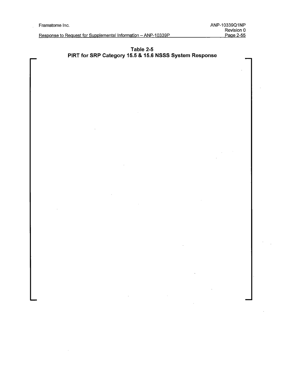

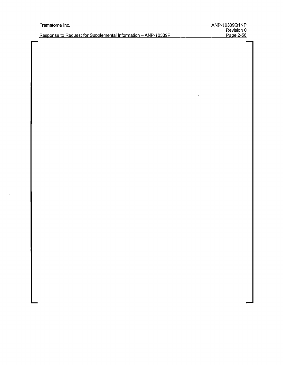$\bar{\mathcal{A}}$ 

 $\ddot{\phantom{a}}$ 

 $\bar{\star}$ 

 $\sim 10^7$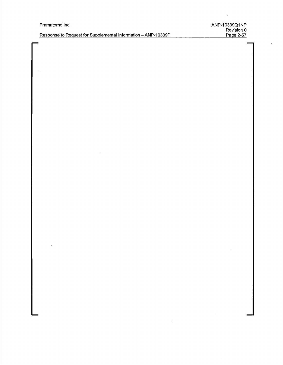| Framatome Inc.                                                | ANP-10339Q |
|---------------------------------------------------------------|------------|
|                                                               | Revisi     |
| Response to Request for Supplemental Information – ANP-10339P | Page 2     |
|                                                               |            |
|                                                               |            |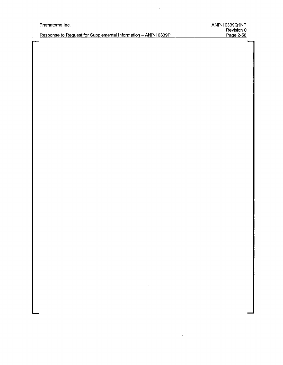$\sim$ 

 $\bar{z}$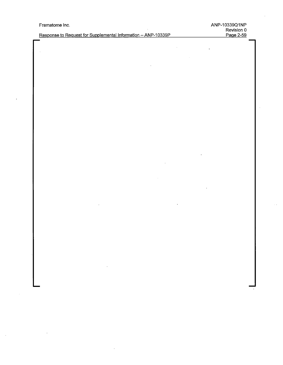$\bar{z}$ 

Response to Request for Supplemental Information - ANP-10339P

| $\label{eq:2.1} \mathcal{L}(\mathcal{L}^{\mathcal{L}}_{\mathcal{L}}(\mathcal{L}^{\mathcal{L}}_{\mathcal{L}})) = \mathcal{L}(\mathcal{L}^{\mathcal{L}}_{\mathcal{L}}(\mathcal{L}^{\mathcal{L}}_{\mathcal{L}})) = \mathcal{L}(\mathcal{L}^{\mathcal{L}}_{\mathcal{L}}(\mathcal{L}^{\mathcal{L}}_{\mathcal{L}}))$<br>$\mathcal{L}(\mathcal{L}^{\mathcal{L}})$ and $\mathcal{L}^{\mathcal{L}}$ are the set of the set of the set of $\mathcal{L}^{\mathcal{L}}$ | the control of the state of the control<br>$\mathcal{L}(\mathcal{L}(\mathcal{L}))$ and $\mathcal{L}(\mathcal{L}(\mathcal{L}))$ . The contribution of the set of $\mathcal{L}(\mathcal{L})$                                                                                                                                                                                                                                                              |                            |
|-------------------------------------------------------------------------------------------------------------------------------------------------------------------------------------------------------------------------------------------------------------------------------------------------------------------------------------------------------------------------------------------------------------------------------------------------------------|---------------------------------------------------------------------------------------------------------------------------------------------------------------------------------------------------------------------------------------------------------------------------------------------------------------------------------------------------------------------------------------------------------------------------------------------------------|----------------------------|
|                                                                                                                                                                                                                                                                                                                                                                                                                                                             |                                                                                                                                                                                                                                                                                                                                                                                                                                                         |                            |
|                                                                                                                                                                                                                                                                                                                                                                                                                                                             | $\label{eq:2.1} \mathcal{L}_{\mathcal{A}}(x) = \mathcal{L}_{\mathcal{A}}(x) \mathcal{L}_{\mathcal{A}}(x) = \mathcal{L}_{\mathcal{A}}(x) \mathcal{L}_{\mathcal{A}}(x)$                                                                                                                                                                                                                                                                                   |                            |
| $\label{eq:2.1} \frac{1}{\sqrt{2}}\left(\frac{1}{\sqrt{2}}\right)^{2} \left(\frac{1}{\sqrt{2}}\right)^{2} \left(\frac{1}{\sqrt{2}}\right)^{2} \left(\frac{1}{\sqrt{2}}\right)^{2} \left(\frac{1}{\sqrt{2}}\right)^{2} \left(\frac{1}{\sqrt{2}}\right)^{2} \left(\frac{1}{\sqrt{2}}\right)^{2} \left(\frac{1}{\sqrt{2}}\right)^{2} \left(\frac{1}{\sqrt{2}}\right)^{2} \left(\frac{1}{\sqrt{2}}\right)^{2} \left(\frac{1}{\sqrt{2}}\right)^{2} \left(\$      | $\mathcal{L}(\mathcal{L}(\mathcal{L}))$ and $\mathcal{L}(\mathcal{L}(\mathcal{L}))$ and $\mathcal{L}(\mathcal{L}(\mathcal{L}))$ . The contribution of the contribution of $\mathcal{L}(\mathcal{L})$<br>$\mathcal{L}(\mathcal{L}(\mathcal{L}))$ and the contract of the contract of the contract of the contract of the contract of the contract of the contract of the contract of the contract of the contract of the contract of the contract of the |                            |
|                                                                                                                                                                                                                                                                                                                                                                                                                                                             |                                                                                                                                                                                                                                                                                                                                                                                                                                                         | and the state of the state |
|                                                                                                                                                                                                                                                                                                                                                                                                                                                             |                                                                                                                                                                                                                                                                                                                                                                                                                                                         |                            |
|                                                                                                                                                                                                                                                                                                                                                                                                                                                             |                                                                                                                                                                                                                                                                                                                                                                                                                                                         |                            |
|                                                                                                                                                                                                                                                                                                                                                                                                                                                             |                                                                                                                                                                                                                                                                                                                                                                                                                                                         |                            |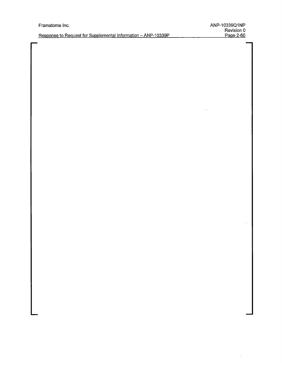| Framatome Inc.                                                | ANP-10339Q1NP |
|---------------------------------------------------------------|---------------|
|                                                               | Revision 0    |
| Response to Request for Supplemental Information - ANP-10339P | Page 2-60     |
|                                                               |               |

 $\overline{a}$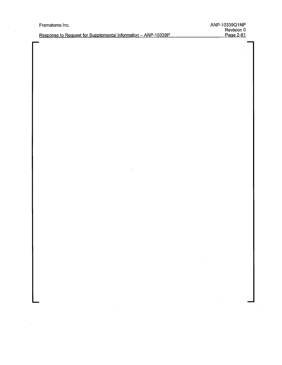$\mathcal{A}^{\mathcal{A}}$ 

 $\bar{z}$ 

 $\bar{a}$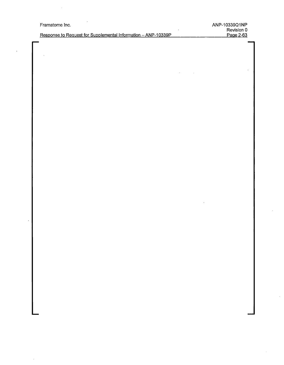| Framatome Inc.                                                | $\ddot{\phantom{a}}$ | ANP-10339Q1NP<br>Revision 0 |
|---------------------------------------------------------------|----------------------|-----------------------------|
| Response to Request for Supplemental Information - ANP-10339P |                      | Page 2-63                   |
|                                                               |                      |                             |
|                                                               |                      |                             |
|                                                               |                      |                             |
|                                                               |                      |                             |
|                                                               |                      |                             |
|                                                               |                      |                             |
|                                                               |                      |                             |
|                                                               |                      |                             |
|                                                               |                      |                             |

 $\ddot{\phantom{0}}$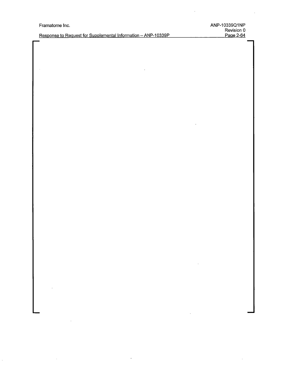| Framatome Inc.                                                                                                                                                                                                                                                                                                                                                                                                                                            | ANP-10339Q1NP                                                                                                                                                                                                                                                                                                                                                                                                                                               |
|-----------------------------------------------------------------------------------------------------------------------------------------------------------------------------------------------------------------------------------------------------------------------------------------------------------------------------------------------------------------------------------------------------------------------------------------------------------|-------------------------------------------------------------------------------------------------------------------------------------------------------------------------------------------------------------------------------------------------------------------------------------------------------------------------------------------------------------------------------------------------------------------------------------------------------------|
| Response to Request for Supplemental Information - ANP-10339P                                                                                                                                                                                                                                                                                                                                                                                             | Revision 0<br>Page 2-64                                                                                                                                                                                                                                                                                                                                                                                                                                     |
|                                                                                                                                                                                                                                                                                                                                                                                                                                                           |                                                                                                                                                                                                                                                                                                                                                                                                                                                             |
|                                                                                                                                                                                                                                                                                                                                                                                                                                                           |                                                                                                                                                                                                                                                                                                                                                                                                                                                             |
|                                                                                                                                                                                                                                                                                                                                                                                                                                                           |                                                                                                                                                                                                                                                                                                                                                                                                                                                             |
|                                                                                                                                                                                                                                                                                                                                                                                                                                                           |                                                                                                                                                                                                                                                                                                                                                                                                                                                             |
|                                                                                                                                                                                                                                                                                                                                                                                                                                                           |                                                                                                                                                                                                                                                                                                                                                                                                                                                             |
|                                                                                                                                                                                                                                                                                                                                                                                                                                                           |                                                                                                                                                                                                                                                                                                                                                                                                                                                             |
|                                                                                                                                                                                                                                                                                                                                                                                                                                                           |                                                                                                                                                                                                                                                                                                                                                                                                                                                             |
|                                                                                                                                                                                                                                                                                                                                                                                                                                                           |                                                                                                                                                                                                                                                                                                                                                                                                                                                             |
|                                                                                                                                                                                                                                                                                                                                                                                                                                                           |                                                                                                                                                                                                                                                                                                                                                                                                                                                             |
|                                                                                                                                                                                                                                                                                                                                                                                                                                                           |                                                                                                                                                                                                                                                                                                                                                                                                                                                             |
|                                                                                                                                                                                                                                                                                                                                                                                                                                                           |                                                                                                                                                                                                                                                                                                                                                                                                                                                             |
|                                                                                                                                                                                                                                                                                                                                                                                                                                                           |                                                                                                                                                                                                                                                                                                                                                                                                                                                             |
|                                                                                                                                                                                                                                                                                                                                                                                                                                                           |                                                                                                                                                                                                                                                                                                                                                                                                                                                             |
|                                                                                                                                                                                                                                                                                                                                                                                                                                                           |                                                                                                                                                                                                                                                                                                                                                                                                                                                             |
|                                                                                                                                                                                                                                                                                                                                                                                                                                                           |                                                                                                                                                                                                                                                                                                                                                                                                                                                             |
|                                                                                                                                                                                                                                                                                                                                                                                                                                                           |                                                                                                                                                                                                                                                                                                                                                                                                                                                             |
|                                                                                                                                                                                                                                                                                                                                                                                                                                                           |                                                                                                                                                                                                                                                                                                                                                                                                                                                             |
|                                                                                                                                                                                                                                                                                                                                                                                                                                                           |                                                                                                                                                                                                                                                                                                                                                                                                                                                             |
|                                                                                                                                                                                                                                                                                                                                                                                                                                                           |                                                                                                                                                                                                                                                                                                                                                                                                                                                             |
|                                                                                                                                                                                                                                                                                                                                                                                                                                                           |                                                                                                                                                                                                                                                                                                                                                                                                                                                             |
|                                                                                                                                                                                                                                                                                                                                                                                                                                                           |                                                                                                                                                                                                                                                                                                                                                                                                                                                             |
|                                                                                                                                                                                                                                                                                                                                                                                                                                                           |                                                                                                                                                                                                                                                                                                                                                                                                                                                             |
|                                                                                                                                                                                                                                                                                                                                                                                                                                                           |                                                                                                                                                                                                                                                                                                                                                                                                                                                             |
|                                                                                                                                                                                                                                                                                                                                                                                                                                                           |                                                                                                                                                                                                                                                                                                                                                                                                                                                             |
|                                                                                                                                                                                                                                                                                                                                                                                                                                                           |                                                                                                                                                                                                                                                                                                                                                                                                                                                             |
|                                                                                                                                                                                                                                                                                                                                                                                                                                                           |                                                                                                                                                                                                                                                                                                                                                                                                                                                             |
|                                                                                                                                                                                                                                                                                                                                                                                                                                                           |                                                                                                                                                                                                                                                                                                                                                                                                                                                             |
|                                                                                                                                                                                                                                                                                                                                                                                                                                                           |                                                                                                                                                                                                                                                                                                                                                                                                                                                             |
|                                                                                                                                                                                                                                                                                                                                                                                                                                                           |                                                                                                                                                                                                                                                                                                                                                                                                                                                             |
|                                                                                                                                                                                                                                                                                                                                                                                                                                                           |                                                                                                                                                                                                                                                                                                                                                                                                                                                             |
|                                                                                                                                                                                                                                                                                                                                                                                                                                                           |                                                                                                                                                                                                                                                                                                                                                                                                                                                             |
|                                                                                                                                                                                                                                                                                                                                                                                                                                                           |                                                                                                                                                                                                                                                                                                                                                                                                                                                             |
|                                                                                                                                                                                                                                                                                                                                                                                                                                                           |                                                                                                                                                                                                                                                                                                                                                                                                                                                             |
|                                                                                                                                                                                                                                                                                                                                                                                                                                                           |                                                                                                                                                                                                                                                                                                                                                                                                                                                             |
|                                                                                                                                                                                                                                                                                                                                                                                                                                                           | $\mathcal{L}(\mathcal{L}(\mathcal{L}(\mathcal{L}(\mathcal{L}(\mathcal{L}(\mathcal{L}(\mathcal{L}(\mathcal{L}(\mathcal{L}(\mathcal{L}(\mathcal{L}(\mathcal{L}(\mathcal{L}(\mathcal{L}(\mathcal{L}(\mathcal{L}(\mathcal{L}(\mathcal{L}(\mathcal{L}(\mathcal{L}(\mathcal{L}(\mathcal{L}(\mathcal{L}(\mathcal{L}(\mathcal{L}(\mathcal{L}(\mathcal{L}(\mathcal{L}(\mathcal{L}(\mathcal{L}(\mathcal{L}(\mathcal{L}(\mathcal{L}(\mathcal{L}(\mathcal{L}(\mathcal{$ |
|                                                                                                                                                                                                                                                                                                                                                                                                                                                           |                                                                                                                                                                                                                                                                                                                                                                                                                                                             |
|                                                                                                                                                                                                                                                                                                                                                                                                                                                           |                                                                                                                                                                                                                                                                                                                                                                                                                                                             |
| $\mathcal{O}(\mathcal{A})$ and $\mathcal{O}(\mathcal{A})$ . The set                                                                                                                                                                                                                                                                                                                                                                                       |                                                                                                                                                                                                                                                                                                                                                                                                                                                             |
|                                                                                                                                                                                                                                                                                                                                                                                                                                                           |                                                                                                                                                                                                                                                                                                                                                                                                                                                             |
|                                                                                                                                                                                                                                                                                                                                                                                                                                                           |                                                                                                                                                                                                                                                                                                                                                                                                                                                             |
|                                                                                                                                                                                                                                                                                                                                                                                                                                                           |                                                                                                                                                                                                                                                                                                                                                                                                                                                             |
| $\mathcal{L}(\mathcal{L}^{\mathcal{L}})$ and $\mathcal{L}^{\mathcal{L}}$ are the set of the set of $\mathcal{L}^{\mathcal{L}}$                                                                                                                                                                                                                                                                                                                            |                                                                                                                                                                                                                                                                                                                                                                                                                                                             |
| $\mathcal{L}(\mathcal{L}^{\mathcal{L}}(\mathcal{L}^{\mathcal{L}}(\mathcal{L}^{\mathcal{L}}(\mathcal{L}^{\mathcal{L}}(\mathcal{L}^{\mathcal{L}}(\mathcal{L}^{\mathcal{L}}(\mathcal{L}^{\mathcal{L}}(\mathcal{L}^{\mathcal{L}}(\mathcal{L}^{\mathcal{L}}(\mathcal{L}^{\mathcal{L}}(\mathcal{L}^{\mathcal{L}}(\mathcal{L}^{\mathcal{L}}(\mathcal{L}^{\mathcal{L}}(\mathcal{L}^{\mathcal{L}}(\mathcal{L}^{\mathcal{L}}(\mathcal{L}^{\mathcal{L}}(\mathcal{L}$ |                                                                                                                                                                                                                                                                                                                                                                                                                                                             |
|                                                                                                                                                                                                                                                                                                                                                                                                                                                           |                                                                                                                                                                                                                                                                                                                                                                                                                                                             |
|                                                                                                                                                                                                                                                                                                                                                                                                                                                           |                                                                                                                                                                                                                                                                                                                                                                                                                                                             |
|                                                                                                                                                                                                                                                                                                                                                                                                                                                           |                                                                                                                                                                                                                                                                                                                                                                                                                                                             |

 $\hat{\boldsymbol{\epsilon}}$ 

 $\mathcal{A}^{\mathcal{A}}$ 

 $\ddot{\phantom{a}}$ 

 $\ddot{\phantom{a}}$ 

 $\ddot{\phantom{a}}$ 

 $\hat{\boldsymbol{\cdot}$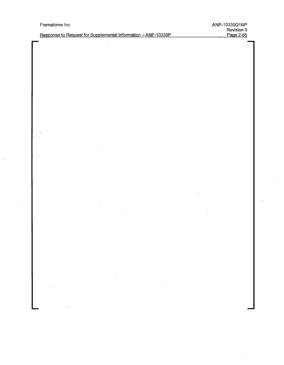| Framatome Inc.                                                | ANP-10339Q1NP<br>Revision 0 |
|---------------------------------------------------------------|-----------------------------|
| Response to Request for Supplemental Information - ANP-10339P | Page 2-65                   |
|                                                               |                             |
|                                                               |                             |
|                                                               |                             |
|                                                               |                             |
|                                                               |                             |
|                                                               |                             |
|                                                               |                             |
|                                                               |                             |

 $\mathcal{L}(\mathcal{A})$  and  $\mathcal{L}(\mathcal{A})$  .

 $\mathcal{L}_{\text{eff}}$ 

 $\mathcal{L}^{\text{max}}_{\text{max}}$  . The  $\mathcal{L}^{\text{max}}_{\text{max}}$ 

 $\label{eq:2.1} \frac{1}{\sqrt{2}}\int_{\mathbb{R}^3}\frac{1}{\sqrt{2}}\left(\frac{1}{\sqrt{2}}\right)^2\frac{1}{\sqrt{2}}\left(\frac{1}{\sqrt{2}}\right)^2\frac{1}{\sqrt{2}}\left(\frac{1}{\sqrt{2}}\right)^2\frac{1}{\sqrt{2}}\left(\frac{1}{\sqrt{2}}\right)^2\frac{1}{\sqrt{2}}\left(\frac{1}{\sqrt{2}}\right)^2\frac{1}{\sqrt{2}}\frac{1}{\sqrt{2}}\frac{1}{\sqrt{2}}\frac{1}{\sqrt{2}}\frac{1}{\sqrt{2}}\frac{1}{\sqrt{2}}$ 

 $\hat{\mathcal{L}}$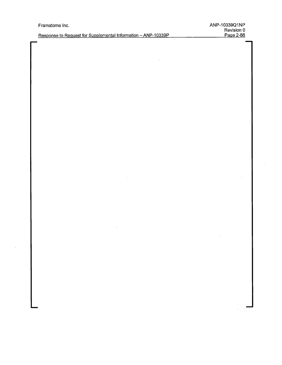| Framatome Inc.                                                | ANP-10339Q1NP<br>Revision 0 |
|---------------------------------------------------------------|-----------------------------|
| Response to Request for Supplemental Information - ANP-10339P | Page 2-66                   |
|                                                               |                             |

 $\mathcal{L}(\mathcal{L}^{\mathcal{L}})$  and  $\mathcal{L}(\mathcal{L}^{\mathcal{L}})$  . The contribution of the  $\mathcal{L}^{\mathcal{L}}$ 

 $\label{eq:2.1} \mathcal{L}(\mathcal{L}^{\mathcal{L}}_{\mathcal{L}}(\mathcal{L}^{\mathcal{L}}_{\mathcal{L}})) = \mathcal{L}(\mathcal{L}^{\mathcal{L}}_{\mathcal{L}}(\mathcal{L}^{\mathcal{L}}_{\mathcal{L}})) = \mathcal{L}(\mathcal{L}^{\mathcal{L}}_{\mathcal{L}}(\mathcal{L}^{\mathcal{L}}_{\mathcal{L}}))$ 

 $\label{eq:2.1} \mathcal{L}(\mathcal{L}^{\text{max}}_{\mathcal{L}}(\mathcal{L}^{\text{max}}_{\mathcal{L}}),\mathcal{L}^{\text{max}}_{\mathcal{L}}(\mathcal{L}^{\text{max}}_{\mathcal{L}}))$ 

 $\sim 10^{-1}$ 

ł,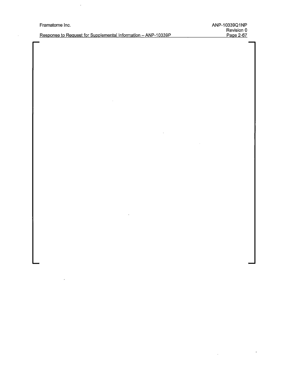$\bar{\mathcal{A}}$ 

Response to Request for Supplemental Information - ANP-10339P

 $\bar{A}$ 

 $\sim 10^{11}$  km s  $^{-1}$ 

 $\bar{\mathcal{A}}$ 

 $\sim 50$  km  $^{-1}$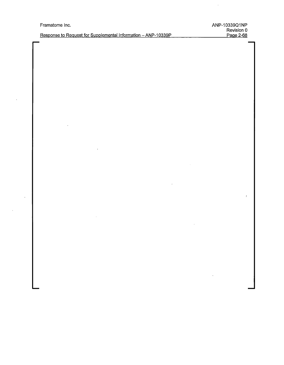| Framatome Inc.                                                | ANP-10339Q1NP           |
|---------------------------------------------------------------|-------------------------|
| Response to Request for Supplemental Information - ANP-10339P | Revision 0<br>Page 2-68 |
|                                                               |                         |

í,

 $\ddot{\phantom{a}}$ 

 $\cdot$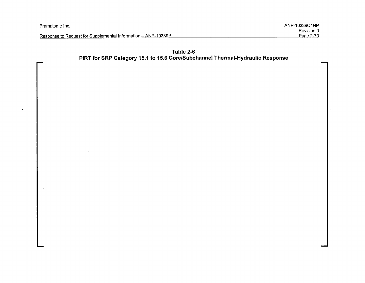Response to Request for Supplemental Information - ANP-10339P

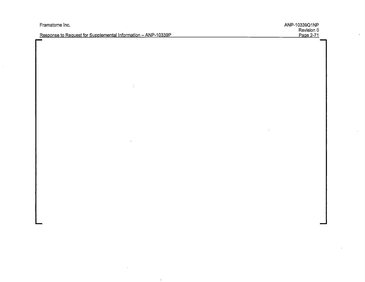$\sim$ 

Response to Request for Supplemental Information - ANP-10339P

ANP-10339Q1NP Revision 0 <u>Page 2-71</u>

 $\mathcal{A}$ 

 $\mathbf{r}$ 

| $\label{eq:2.1} \frac{d}{dt} \left( \frac{d}{dt} \right) = \frac{d}{dt} \left( \frac{d}{dt} \right) = \frac{d}{dt} \left( \frac{d}{dt} \right) = \frac{d}{dt} \left( \frac{d}{dt} \right) = \frac{d}{dt} \left( \frac{d}{dt} \right) = \frac{d}{dt} \left( \frac{d}{dt} \right) = \frac{d}{dt} \left( \frac{d}{dt} \right) = \frac{d}{dt} \left( \frac{d}{dt} \right) = \frac{d}{dt} \left( \frac{d}{dt} \right) = \frac{d}{dt} \left( \frac{d}{dt} \right) = \$ |  |
|------------------------------------------------------------------------------------------------------------------------------------------------------------------------------------------------------------------------------------------------------------------------------------------------------------------------------------------------------------------------------------------------------------------------------------------------------------------|--|
|                                                                                                                                                                                                                                                                                                                                                                                                                                                                  |  |
|                                                                                                                                                                                                                                                                                                                                                                                                                                                                  |  |
|                                                                                                                                                                                                                                                                                                                                                                                                                                                                  |  |
|                                                                                                                                                                                                                                                                                                                                                                                                                                                                  |  |
|                                                                                                                                                                                                                                                                                                                                                                                                                                                                  |  |
|                                                                                                                                                                                                                                                                                                                                                                                                                                                                  |  |
|                                                                                                                                                                                                                                                                                                                                                                                                                                                                  |  |
|                                                                                                                                                                                                                                                                                                                                                                                                                                                                  |  |
|                                                                                                                                                                                                                                                                                                                                                                                                                                                                  |  |
|                                                                                                                                                                                                                                                                                                                                                                                                                                                                  |  |
|                                                                                                                                                                                                                                                                                                                                                                                                                                                                  |  |
|                                                                                                                                                                                                                                                                                                                                                                                                                                                                  |  |
|                                                                                                                                                                                                                                                                                                                                                                                                                                                                  |  |
|                                                                                                                                                                                                                                                                                                                                                                                                                                                                  |  |
|                                                                                                                                                                                                                                                                                                                                                                                                                                                                  |  |
|                                                                                                                                                                                                                                                                                                                                                                                                                                                                  |  |
|                                                                                                                                                                                                                                                                                                                                                                                                                                                                  |  |
|                                                                                                                                                                                                                                                                                                                                                                                                                                                                  |  |
| $\mathcal{L}^{\mathcal{L}}(\mathcal{L}^{\mathcal{L}})$ and $\mathcal{L}^{\mathcal{L}}(\mathcal{L}^{\mathcal{L}})$ and $\mathcal{L}^{\mathcal{L}}(\mathcal{L}^{\mathcal{L}})$ . In the case of                                                                                                                                                                                                                                                                    |  |
|                                                                                                                                                                                                                                                                                                                                                                                                                                                                  |  |
|                                                                                                                                                                                                                                                                                                                                                                                                                                                                  |  |
|                                                                                                                                                                                                                                                                                                                                                                                                                                                                  |  |
|                                                                                                                                                                                                                                                                                                                                                                                                                                                                  |  |
| $\mathcal{L}(\mathcal{L}(\mathcal{L}(\mathcal{L}(\mathcal{L}(\mathcal{L}(\mathcal{L}(\mathcal{L}(\mathcal{L}(\mathcal{L}(\mathcal{L}(\mathcal{L}(\mathcal{L}(\mathcal{L}(\mathcal{L}(\mathcal{L}(\mathcal{L}(\mathcal{L}(\mathcal{L}(\mathcal{L}(\mathcal{L}(\mathcal{L}(\mathcal{L}(\mathcal{L}(\mathcal{L}(\mathcal{L}(\mathcal{L}(\mathcal{L}(\mathcal{L}(\mathcal{L}(\mathcal{L}(\mathcal{L}(\mathcal{L}(\mathcal{L}(\mathcal{L}(\mathcal{L}(\mathcal{$      |  |
|                                                                                                                                                                                                                                                                                                                                                                                                                                                                  |  |
|                                                                                                                                                                                                                                                                                                                                                                                                                                                                  |  |
|                                                                                                                                                                                                                                                                                                                                                                                                                                                                  |  |
|                                                                                                                                                                                                                                                                                                                                                                                                                                                                  |  |
|                                                                                                                                                                                                                                                                                                                                                                                                                                                                  |  |
|                                                                                                                                                                                                                                                                                                                                                                                                                                                                  |  |
|                                                                                                                                                                                                                                                                                                                                                                                                                                                                  |  |
|                                                                                                                                                                                                                                                                                                                                                                                                                                                                  |  |
|                                                                                                                                                                                                                                                                                                                                                                                                                                                                  |  |
|                                                                                                                                                                                                                                                                                                                                                                                                                                                                  |  |
|                                                                                                                                                                                                                                                                                                                                                                                                                                                                  |  |
|                                                                                                                                                                                                                                                                                                                                                                                                                                                                  |  |
|                                                                                                                                                                                                                                                                                                                                                                                                                                                                  |  |
|                                                                                                                                                                                                                                                                                                                                                                                                                                                                  |  |
|                                                                                                                                                                                                                                                                                                                                                                                                                                                                  |  |
|                                                                                                                                                                                                                                                                                                                                                                                                                                                                  |  |
|                                                                                                                                                                                                                                                                                                                                                                                                                                                                  |  |
|                                                                                                                                                                                                                                                                                                                                                                                                                                                                  |  |
|                                                                                                                                                                                                                                                                                                                                                                                                                                                                  |  |
|                                                                                                                                                                                                                                                                                                                                                                                                                                                                  |  |
|                                                                                                                                                                                                                                                                                                                                                                                                                                                                  |  |
|                                                                                                                                                                                                                                                                                                                                                                                                                                                                  |  |
|                                                                                                                                                                                                                                                                                                                                                                                                                                                                  |  |
|                                                                                                                                                                                                                                                                                                                                                                                                                                                                  |  |
|                                                                                                                                                                                                                                                                                                                                                                                                                                                                  |  |
|                                                                                                                                                                                                                                                                                                                                                                                                                                                                  |  |
|                                                                                                                                                                                                                                                                                                                                                                                                                                                                  |  |
|                                                                                                                                                                                                                                                                                                                                                                                                                                                                  |  |
|                                                                                                                                                                                                                                                                                                                                                                                                                                                                  |  |

 $\mathcal{L}_{\mathbf{r}}$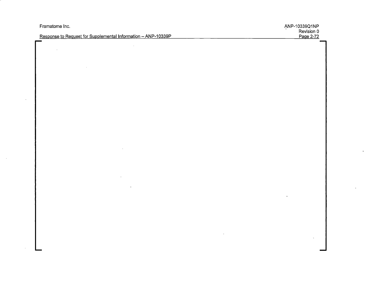| Framatome Inc. |  |
|----------------|--|
|----------------|--|

 $\ddot{\phantom{a}}$ 

 $\bar{A}$ 

 $\sim$ 

<u>Response to Request for Supplemental Information – ANP-10339P\_</u>

┓

 $\tilde{\phantom{a}}$ 

 $\hat{\mathbf{v}}$ 

|                                                                                                                                       | $\mathcal{L}^{\mathcal{L}}(\mathcal{A})$ .                                                                                                                                                                                                                                                                                                                                                                                                                  |                                                                                                                                                                                                                                                                                                                                                                                                                                                             |
|---------------------------------------------------------------------------------------------------------------------------------------|-------------------------------------------------------------------------------------------------------------------------------------------------------------------------------------------------------------------------------------------------------------------------------------------------------------------------------------------------------------------------------------------------------------------------------------------------------------|-------------------------------------------------------------------------------------------------------------------------------------------------------------------------------------------------------------------------------------------------------------------------------------------------------------------------------------------------------------------------------------------------------------------------------------------------------------|
| $\epsilon$ .                                                                                                                          |                                                                                                                                                                                                                                                                                                                                                                                                                                                             |                                                                                                                                                                                                                                                                                                                                                                                                                                                             |
|                                                                                                                                       |                                                                                                                                                                                                                                                                                                                                                                                                                                                             |                                                                                                                                                                                                                                                                                                                                                                                                                                                             |
|                                                                                                                                       |                                                                                                                                                                                                                                                                                                                                                                                                                                                             |                                                                                                                                                                                                                                                                                                                                                                                                                                                             |
| $\mathcal{O}(\mathcal{O}_\mathcal{O})$ . The second contribution of the second contribution of $\mathcal{O}(\mathcal{O}_\mathcal{O})$ |                                                                                                                                                                                                                                                                                                                                                                                                                                                             |                                                                                                                                                                                                                                                                                                                                                                                                                                                             |
|                                                                                                                                       |                                                                                                                                                                                                                                                                                                                                                                                                                                                             |                                                                                                                                                                                                                                                                                                                                                                                                                                                             |
|                                                                                                                                       |                                                                                                                                                                                                                                                                                                                                                                                                                                                             |                                                                                                                                                                                                                                                                                                                                                                                                                                                             |
|                                                                                                                                       |                                                                                                                                                                                                                                                                                                                                                                                                                                                             |                                                                                                                                                                                                                                                                                                                                                                                                                                                             |
|                                                                                                                                       |                                                                                                                                                                                                                                                                                                                                                                                                                                                             |                                                                                                                                                                                                                                                                                                                                                                                                                                                             |
|                                                                                                                                       |                                                                                                                                                                                                                                                                                                                                                                                                                                                             |                                                                                                                                                                                                                                                                                                                                                                                                                                                             |
|                                                                                                                                       |                                                                                                                                                                                                                                                                                                                                                                                                                                                             |                                                                                                                                                                                                                                                                                                                                                                                                                                                             |
|                                                                                                                                       |                                                                                                                                                                                                                                                                                                                                                                                                                                                             |                                                                                                                                                                                                                                                                                                                                                                                                                                                             |
|                                                                                                                                       |                                                                                                                                                                                                                                                                                                                                                                                                                                                             |                                                                                                                                                                                                                                                                                                                                                                                                                                                             |
|                                                                                                                                       |                                                                                                                                                                                                                                                                                                                                                                                                                                                             |                                                                                                                                                                                                                                                                                                                                                                                                                                                             |
|                                                                                                                                       |                                                                                                                                                                                                                                                                                                                                                                                                                                                             |                                                                                                                                                                                                                                                                                                                                                                                                                                                             |
|                                                                                                                                       |                                                                                                                                                                                                                                                                                                                                                                                                                                                             |                                                                                                                                                                                                                                                                                                                                                                                                                                                             |
|                                                                                                                                       |                                                                                                                                                                                                                                                                                                                                                                                                                                                             |                                                                                                                                                                                                                                                                                                                                                                                                                                                             |
|                                                                                                                                       |                                                                                                                                                                                                                                                                                                                                                                                                                                                             |                                                                                                                                                                                                                                                                                                                                                                                                                                                             |
|                                                                                                                                       |                                                                                                                                                                                                                                                                                                                                                                                                                                                             |                                                                                                                                                                                                                                                                                                                                                                                                                                                             |
|                                                                                                                                       | $\mathcal{L}(\mathcal{L}(\mathcal{L}(\mathcal{L}(\mathcal{L}(\mathcal{L}(\mathcal{L}(\mathcal{L}(\mathcal{L}(\mathcal{L}(\mathcal{L}(\mathcal{L}(\mathcal{L}(\mathcal{L}(\mathcal{L}(\mathcal{L}(\mathcal{L}(\mathcal{L}(\mathcal{L}(\mathcal{L}(\mathcal{L}(\mathcal{L}(\mathcal{L}(\mathcal{L}(\mathcal{L}(\mathcal{L}(\mathcal{L}(\mathcal{L}(\mathcal{L}(\mathcal{L}(\mathcal{L}(\mathcal{L}(\mathcal{L}(\mathcal{L}(\mathcal{L}(\mathcal{L}(\mathcal{$ |                                                                                                                                                                                                                                                                                                                                                                                                                                                             |
|                                                                                                                                       |                                                                                                                                                                                                                                                                                                                                                                                                                                                             |                                                                                                                                                                                                                                                                                                                                                                                                                                                             |
|                                                                                                                                       |                                                                                                                                                                                                                                                                                                                                                                                                                                                             |                                                                                                                                                                                                                                                                                                                                                                                                                                                             |
|                                                                                                                                       |                                                                                                                                                                                                                                                                                                                                                                                                                                                             |                                                                                                                                                                                                                                                                                                                                                                                                                                                             |
|                                                                                                                                       |                                                                                                                                                                                                                                                                                                                                                                                                                                                             |                                                                                                                                                                                                                                                                                                                                                                                                                                                             |
|                                                                                                                                       | $\mathcal{L}(\mathcal{L}(\mathcal{L}))$ and $\mathcal{L}(\mathcal{L}(\mathcal{L}))$ . The contribution of the contribution of the contribution of $\mathcal{L}(\mathcal{L})$                                                                                                                                                                                                                                                                                |                                                                                                                                                                                                                                                                                                                                                                                                                                                             |
|                                                                                                                                       |                                                                                                                                                                                                                                                                                                                                                                                                                                                             |                                                                                                                                                                                                                                                                                                                                                                                                                                                             |
|                                                                                                                                       | $\mathcal{O}(\mathcal{O}_\mathcal{O})$ . The contract of the contract of the contract of the contract of the contract of the contract of the contract of the contract of the contract of the contract of the contract of the contract of the co                                                                                                                                                                                                             |                                                                                                                                                                                                                                                                                                                                                                                                                                                             |
|                                                                                                                                       |                                                                                                                                                                                                                                                                                                                                                                                                                                                             | $\mathcal{L}(\mathcal{L}(\mathcal{L}(\mathcal{L}(\mathcal{L}(\mathcal{L}(\mathcal{L}(\mathcal{L}(\mathcal{L}(\mathcal{L}(\mathcal{L}(\mathcal{L}(\mathcal{L}(\mathcal{L}(\mathcal{L}(\mathcal{L}(\mathcal{L}(\mathcal{L}(\mathcal{L}(\mathcal{L}(\mathcal{L}(\mathcal{L}(\mathcal{L}(\mathcal{L}(\mathcal{L}(\mathcal{L}(\mathcal{L}(\mathcal{L}(\mathcal{L}(\mathcal{L}(\mathcal{L}(\mathcal{L}(\mathcal{L}(\mathcal{L}(\mathcal{L}(\mathcal{L}(\mathcal{$ |
|                                                                                                                                       |                                                                                                                                                                                                                                                                                                                                                                                                                                                             |                                                                                                                                                                                                                                                                                                                                                                                                                                                             |
|                                                                                                                                       |                                                                                                                                                                                                                                                                                                                                                                                                                                                             |                                                                                                                                                                                                                                                                                                                                                                                                                                                             |
|                                                                                                                                       |                                                                                                                                                                                                                                                                                                                                                                                                                                                             |                                                                                                                                                                                                                                                                                                                                                                                                                                                             |
|                                                                                                                                       |                                                                                                                                                                                                                                                                                                                                                                                                                                                             |                                                                                                                                                                                                                                                                                                                                                                                                                                                             |
|                                                                                                                                       |                                                                                                                                                                                                                                                                                                                                                                                                                                                             |                                                                                                                                                                                                                                                                                                                                                                                                                                                             |
|                                                                                                                                       |                                                                                                                                                                                                                                                                                                                                                                                                                                                             |                                                                                                                                                                                                                                                                                                                                                                                                                                                             |
|                                                                                                                                       | $\mathcal{L}(\mathcal{L}(\mathcal{L}))$ and $\mathcal{L}(\mathcal{L}(\mathcal{L}))$ . The contribution of $\mathcal{L}(\mathcal{L})$                                                                                                                                                                                                                                                                                                                        |                                                                                                                                                                                                                                                                                                                                                                                                                                                             |
|                                                                                                                                       |                                                                                                                                                                                                                                                                                                                                                                                                                                                             | $\sim 100$ km s $^{-1}$                                                                                                                                                                                                                                                                                                                                                                                                                                     |
|                                                                                                                                       |                                                                                                                                                                                                                                                                                                                                                                                                                                                             |                                                                                                                                                                                                                                                                                                                                                                                                                                                             |
|                                                                                                                                       |                                                                                                                                                                                                                                                                                                                                                                                                                                                             |                                                                                                                                                                                                                                                                                                                                                                                                                                                             |
|                                                                                                                                       |                                                                                                                                                                                                                                                                                                                                                                                                                                                             |                                                                                                                                                                                                                                                                                                                                                                                                                                                             |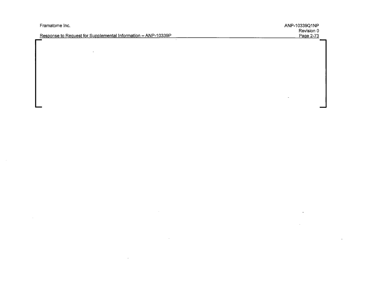| Framatome Inc.                                                | ANP-10339Q1NP<br>Revision 0 |
|---------------------------------------------------------------|-----------------------------|
| Response to Request for Supplemental Information - ANP-10339P | Page 2-73                   |
|                                                               |                             |
| $\bullet$                                                     |                             |
|                                                               |                             |
|                                                               |                             |
|                                                               |                             |

the contract of the contract of the contract of

 $\mathcal{L}(\mathcal{A})$  and  $\mathcal{L}(\mathcal{A})$  are the set of the set of  $\mathcal{L}(\mathcal{A})$ 

 $\mathcal{L}(\mathcal{L}(\mathcal{L}))$  and  $\mathcal{L}(\mathcal{L}(\mathcal{L}))$  . The contribution of  $\mathcal{L}(\mathcal{L})$ 

 $\mathcal{L}^{\text{max}}_{\text{max}}$ 

 $\mathcal{L}(\mathcal{L})$  and  $\mathcal{L}(\mathcal{L})$  are the set of the set of the set of  $\mathcal{L}(\mathcal{L})$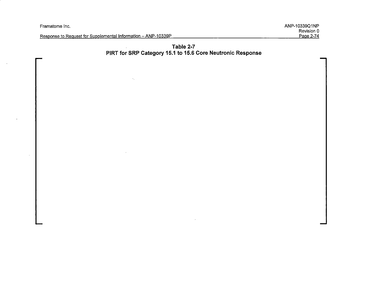| Framatome Inc. |  |
|----------------|--|
|----------------|--|

Response to Request for Supplemental Information - ANP-10339P

 $\ddot{\phantom{a}}$  .

ANP-10339Q1NP Revision 0 Page 2-74

**Table 2-7 PIRT for SRP Category 15.1 to 15.6 Core Neutronic Response**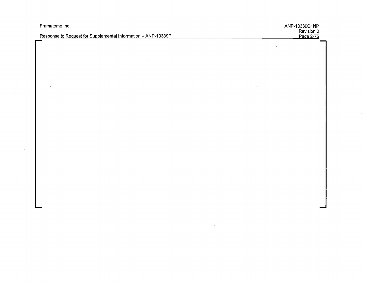$\Delta$ 

 $\blacksquare$ 

 $\sim$ 

 $\sim$ 

Response to Request for Supplemental Information - ANP-10339P

ANP-10339Q1NP Revision 0 Page 2-75

|                           |                                                                                                                                                                                                                                                                                                                                                                                                                                                             |                                                                                 | and the state of the                      |  |
|---------------------------|-------------------------------------------------------------------------------------------------------------------------------------------------------------------------------------------------------------------------------------------------------------------------------------------------------------------------------------------------------------------------------------------------------------------------------------------------------------|---------------------------------------------------------------------------------|-------------------------------------------|--|
|                           |                                                                                                                                                                                                                                                                                                                                                                                                                                                             |                                                                                 |                                           |  |
|                           |                                                                                                                                                                                                                                                                                                                                                                                                                                                             |                                                                                 |                                           |  |
|                           |                                                                                                                                                                                                                                                                                                                                                                                                                                                             |                                                                                 |                                           |  |
|                           | the contract of the contract of the contract of the contract of                                                                                                                                                                                                                                                                                                                                                                                             |                                                                                 |                                           |  |
|                           |                                                                                                                                                                                                                                                                                                                                                                                                                                                             |                                                                                 |                                           |  |
|                           | the contract of the state of the contract                                                                                                                                                                                                                                                                                                                                                                                                                   |                                                                                 |                                           |  |
|                           |                                                                                                                                                                                                                                                                                                                                                                                                                                                             |                                                                                 |                                           |  |
|                           | $\mathcal{L}(\mathcal{L}(\mathcal{L}(\mathcal{L}(\mathcal{L}(\mathcal{L}(\mathcal{L}(\mathcal{L}(\mathcal{L}(\mathcal{L}(\mathcal{L}(\mathcal{L}(\mathcal{L}(\mathcal{L}(\mathcal{L}(\mathcal{L}(\mathcal{L}(\mathcal{L}(\mathcal{L}(\mathcal{L}(\mathcal{L}(\mathcal{L}(\mathcal{L}(\mathcal{L}(\mathcal{L}(\mathcal{L}(\mathcal{L}(\mathcal{L}(\mathcal{L}(\mathcal{L}(\mathcal{L}(\mathcal{L}(\mathcal{L}(\mathcal{L}(\mathcal{L}(\mathcal{L}(\mathcal{$ |                                                                                 | the control of the control of the control |  |
|                           |                                                                                                                                                                                                                                                                                                                                                                                                                                                             |                                                                                 |                                           |  |
|                           |                                                                                                                                                                                                                                                                                                                                                                                                                                                             | the contract of the contract of the contract of the contract of the contract of |                                           |  |
|                           |                                                                                                                                                                                                                                                                                                                                                                                                                                                             |                                                                                 |                                           |  |
|                           |                                                                                                                                                                                                                                                                                                                                                                                                                                                             |                                                                                 |                                           |  |
| <b>Service Contractor</b> |                                                                                                                                                                                                                                                                                                                                                                                                                                                             | the contract of the contract of the contract of the                             |                                           |  |
|                           |                                                                                                                                                                                                                                                                                                                                                                                                                                                             |                                                                                 |                                           |  |
|                           |                                                                                                                                                                                                                                                                                                                                                                                                                                                             |                                                                                 |                                           |  |
|                           |                                                                                                                                                                                                                                                                                                                                                                                                                                                             |                                                                                 |                                           |  |
|                           |                                                                                                                                                                                                                                                                                                                                                                                                                                                             |                                                                                 |                                           |  |
|                           |                                                                                                                                                                                                                                                                                                                                                                                                                                                             |                                                                                 |                                           |  |
|                           |                                                                                                                                                                                                                                                                                                                                                                                                                                                             |                                                                                 |                                           |  |
|                           |                                                                                                                                                                                                                                                                                                                                                                                                                                                             |                                                                                 |                                           |  |
|                           |                                                                                                                                                                                                                                                                                                                                                                                                                                                             |                                                                                 |                                           |  |
|                           |                                                                                                                                                                                                                                                                                                                                                                                                                                                             |                                                                                 |                                           |  |
|                           |                                                                                                                                                                                                                                                                                                                                                                                                                                                             |                                                                                 |                                           |  |
|                           |                                                                                                                                                                                                                                                                                                                                                                                                                                                             |                                                                                 |                                           |  |
|                           |                                                                                                                                                                                                                                                                                                                                                                                                                                                             |                                                                                 |                                           |  |
|                           |                                                                                                                                                                                                                                                                                                                                                                                                                                                             |                                                                                 |                                           |  |
|                           |                                                                                                                                                                                                                                                                                                                                                                                                                                                             | the contract of the contract of the contract of                                 |                                           |  |
|                           |                                                                                                                                                                                                                                                                                                                                                                                                                                                             |                                                                                 |                                           |  |
|                           |                                                                                                                                                                                                                                                                                                                                                                                                                                                             |                                                                                 |                                           |  |
|                           |                                                                                                                                                                                                                                                                                                                                                                                                                                                             |                                                                                 |                                           |  |
|                           |                                                                                                                                                                                                                                                                                                                                                                                                                                                             |                                                                                 |                                           |  |
|                           |                                                                                                                                                                                                                                                                                                                                                                                                                                                             |                                                                                 |                                           |  |
|                           |                                                                                                                                                                                                                                                                                                                                                                                                                                                             |                                                                                 |                                           |  |
|                           |                                                                                                                                                                                                                                                                                                                                                                                                                                                             |                                                                                 |                                           |  |
|                           |                                                                                                                                                                                                                                                                                                                                                                                                                                                             |                                                                                 |                                           |  |
|                           |                                                                                                                                                                                                                                                                                                                                                                                                                                                             |                                                                                 |                                           |  |
|                           |                                                                                                                                                                                                                                                                                                                                                                                                                                                             |                                                                                 |                                           |  |
|                           |                                                                                                                                                                                                                                                                                                                                                                                                                                                             |                                                                                 |                                           |  |
|                           |                                                                                                                                                                                                                                                                                                                                                                                                                                                             |                                                                                 |                                           |  |
|                           |                                                                                                                                                                                                                                                                                                                                                                                                                                                             |                                                                                 |                                           |  |
|                           |                                                                                                                                                                                                                                                                                                                                                                                                                                                             |                                                                                 |                                           |  |
|                           |                                                                                                                                                                                                                                                                                                                                                                                                                                                             |                                                                                 |                                           |  |
|                           |                                                                                                                                                                                                                                                                                                                                                                                                                                                             |                                                                                 |                                           |  |
|                           |                                                                                                                                                                                                                                                                                                                                                                                                                                                             |                                                                                 |                                           |  |
|                           |                                                                                                                                                                                                                                                                                                                                                                                                                                                             |                                                                                 |                                           |  |
|                           |                                                                                                                                                                                                                                                                                                                                                                                                                                                             |                                                                                 |                                           |  |
|                           |                                                                                                                                                                                                                                                                                                                                                                                                                                                             |                                                                                 |                                           |  |
|                           |                                                                                                                                                                                                                                                                                                                                                                                                                                                             |                                                                                 |                                           |  |

 $\mathcal{L}$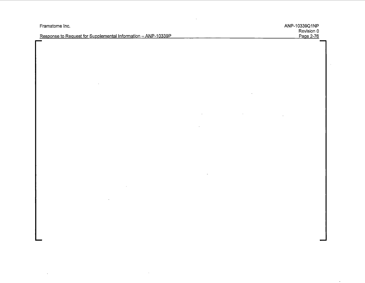| Framatome Inc. |  |
|----------------|--|
|----------------|--|

 $\sim$ 

Response to Request for Supplemental Information - ANP-10339P

┑

 $\overline{\phantom{a}}$ 

| $\mathcal{L}(\mathcal{L}(\mathcal{L}(\mathcal{L}(\mathcal{L}(\mathcal{L}(\mathcal{L}(\mathcal{L}(\mathcal{L}(\mathcal{L}(\mathcal{L}(\mathcal{L}(\mathcal{L}(\mathcal{L}(\mathcal{L}(\mathcal{L}(\mathcal{L}(\mathcal{L}(\mathcal{L}(\mathcal{L}(\mathcal{L}(\mathcal{L}(\mathcal{L}(\mathcal{L}(\mathcal{L}(\mathcal{L}(\mathcal{L}(\mathcal{L}(\mathcal{L}(\mathcal{L}(\mathcal{L}(\mathcal{L}(\mathcal{L}(\mathcal{L}(\mathcal{L}(\mathcal{L}(\mathcal{$ |                                                                                                                                                                                                                                                                                                                                                                                                                                                             |                                   |  |
|-------------------------------------------------------------------------------------------------------------------------------------------------------------------------------------------------------------------------------------------------------------------------------------------------------------------------------------------------------------------------------------------------------------------------------------------------------------|-------------------------------------------------------------------------------------------------------------------------------------------------------------------------------------------------------------------------------------------------------------------------------------------------------------------------------------------------------------------------------------------------------------------------------------------------------------|-----------------------------------|--|
|                                                                                                                                                                                                                                                                                                                                                                                                                                                             |                                                                                                                                                                                                                                                                                                                                                                                                                                                             | the control of the control of the |  |
|                                                                                                                                                                                                                                                                                                                                                                                                                                                             |                                                                                                                                                                                                                                                                                                                                                                                                                                                             |                                   |  |
|                                                                                                                                                                                                                                                                                                                                                                                                                                                             | $\mathcal{L}(\mathcal{L}(\mathcal{L}))$ and the contribution of the contribution of the contribution of the contribution of the contribution of the contribution of the contribution of the contribution of the contribution of the contribution                                                                                                                                                                                                            |                                   |  |
|                                                                                                                                                                                                                                                                                                                                                                                                                                                             | $\mathcal{L}(\mathcal{L}(\mathcal{L}(\mathcal{L}(\mathcal{L}(\mathcal{L}(\mathcal{L}(\mathcal{L}(\mathcal{L}(\mathcal{L}(\mathcal{L}(\mathcal{L}(\mathcal{L}(\mathcal{L}(\mathcal{L}(\mathcal{L}(\mathcal{L}(\mathcal{L}(\mathcal{L}(\mathcal{L}(\mathcal{L}(\mathcal{L}(\mathcal{L}(\mathcal{L}(\mathcal{L}(\mathcal{L}(\mathcal{L}(\mathcal{L}(\mathcal{L}(\mathcal{L}(\mathcal{L}(\mathcal{L}(\mathcal{L}(\mathcal{L}(\mathcal{L}(\mathcal{L}(\mathcal{$ |                                   |  |
|                                                                                                                                                                                                                                                                                                                                                                                                                                                             |                                                                                                                                                                                                                                                                                                                                                                                                                                                             |                                   |  |
|                                                                                                                                                                                                                                                                                                                                                                                                                                                             |                                                                                                                                                                                                                                                                                                                                                                                                                                                             |                                   |  |
|                                                                                                                                                                                                                                                                                                                                                                                                                                                             | $\label{eq:2.1} \frac{1}{2} \sum_{i=1}^n \frac{1}{2} \sum_{j=1}^n \frac{1}{2} \sum_{j=1}^n \frac{1}{2} \sum_{j=1}^n \frac{1}{2} \sum_{j=1}^n \frac{1}{2} \sum_{j=1}^n \frac{1}{2} \sum_{j=1}^n \frac{1}{2} \sum_{j=1}^n \frac{1}{2} \sum_{j=1}^n \frac{1}{2} \sum_{j=1}^n \frac{1}{2} \sum_{j=1}^n \frac{1}{2} \sum_{j=1}^n \frac{1}{2} \sum_{j=1}^n \frac{$                                                                                                |                                   |  |
| $\label{eq:2.1} \mathcal{L}(\mathcal{L}(\mathcal{L})) = \mathcal{L}(\mathcal{L}(\mathcal{L})) = \mathcal{L}(\mathcal{L}(\mathcal{L})) = \mathcal{L}(\mathcal{L}(\mathcal{L}))$                                                                                                                                                                                                                                                                              |                                                                                                                                                                                                                                                                                                                                                                                                                                                             |                                   |  |
| $\mathcal{L}(\mathcal{L}(\mathcal{L}))$ and $\mathcal{L}(\mathcal{L}(\mathcal{L}))$ . The contribution of $\mathcal{L}(\mathcal{L})$                                                                                                                                                                                                                                                                                                                        |                                                                                                                                                                                                                                                                                                                                                                                                                                                             |                                   |  |
|                                                                                                                                                                                                                                                                                                                                                                                                                                                             |                                                                                                                                                                                                                                                                                                                                                                                                                                                             |                                   |  |
|                                                                                                                                                                                                                                                                                                                                                                                                                                                             |                                                                                                                                                                                                                                                                                                                                                                                                                                                             |                                   |  |
|                                                                                                                                                                                                                                                                                                                                                                                                                                                             |                                                                                                                                                                                                                                                                                                                                                                                                                                                             |                                   |  |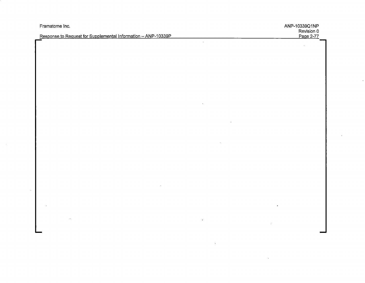| Framatome Inc. |  |
|----------------|--|
|----------------|--|

Response to Request for Supplemental Information - ANP-10339P

ANP-10339Q1 NP Revision 0 Page 2-77

|                                                                                                                                                                                                                                                                                                                                                                                                                                                             | the control of the control of the control                                                                                                                                                                                                                                                                                                                                                                                                                   |                                                                                                                                                                                             |
|-------------------------------------------------------------------------------------------------------------------------------------------------------------------------------------------------------------------------------------------------------------------------------------------------------------------------------------------------------------------------------------------------------------------------------------------------------------|-------------------------------------------------------------------------------------------------------------------------------------------------------------------------------------------------------------------------------------------------------------------------------------------------------------------------------------------------------------------------------------------------------------------------------------------------------------|---------------------------------------------------------------------------------------------------------------------------------------------------------------------------------------------|
|                                                                                                                                                                                                                                                                                                                                                                                                                                                             |                                                                                                                                                                                                                                                                                                                                                                                                                                                             | $\label{eq:2.1} \mathcal{L}(\mathcal{L}^{\text{max}}_{\mathcal{L}}(\mathcal{L}^{\text{max}}_{\mathcal{L}}),\mathcal{L}^{\text{max}}_{\mathcal{L}}(\mathcal{L}^{\text{max}}_{\mathcal{L}}))$ |
|                                                                                                                                                                                                                                                                                                                                                                                                                                                             |                                                                                                                                                                                                                                                                                                                                                                                                                                                             |                                                                                                                                                                                             |
|                                                                                                                                                                                                                                                                                                                                                                                                                                                             |                                                                                                                                                                                                                                                                                                                                                                                                                                                             |                                                                                                                                                                                             |
|                                                                                                                                                                                                                                                                                                                                                                                                                                                             |                                                                                                                                                                                                                                                                                                                                                                                                                                                             |                                                                                                                                                                                             |
|                                                                                                                                                                                                                                                                                                                                                                                                                                                             |                                                                                                                                                                                                                                                                                                                                                                                                                                                             |                                                                                                                                                                                             |
|                                                                                                                                                                                                                                                                                                                                                                                                                                                             |                                                                                                                                                                                                                                                                                                                                                                                                                                                             |                                                                                                                                                                                             |
|                                                                                                                                                                                                                                                                                                                                                                                                                                                             |                                                                                                                                                                                                                                                                                                                                                                                                                                                             |                                                                                                                                                                                             |
|                                                                                                                                                                                                                                                                                                                                                                                                                                                             |                                                                                                                                                                                                                                                                                                                                                                                                                                                             |                                                                                                                                                                                             |
|                                                                                                                                                                                                                                                                                                                                                                                                                                                             |                                                                                                                                                                                                                                                                                                                                                                                                                                                             |                                                                                                                                                                                             |
|                                                                                                                                                                                                                                                                                                                                                                                                                                                             |                                                                                                                                                                                                                                                                                                                                                                                                                                                             |                                                                                                                                                                                             |
|                                                                                                                                                                                                                                                                                                                                                                                                                                                             |                                                                                                                                                                                                                                                                                                                                                                                                                                                             |                                                                                                                                                                                             |
|                                                                                                                                                                                                                                                                                                                                                                                                                                                             |                                                                                                                                                                                                                                                                                                                                                                                                                                                             |                                                                                                                                                                                             |
|                                                                                                                                                                                                                                                                                                                                                                                                                                                             |                                                                                                                                                                                                                                                                                                                                                                                                                                                             |                                                                                                                                                                                             |
|                                                                                                                                                                                                                                                                                                                                                                                                                                                             |                                                                                                                                                                                                                                                                                                                                                                                                                                                             |                                                                                                                                                                                             |
|                                                                                                                                                                                                                                                                                                                                                                                                                                                             |                                                                                                                                                                                                                                                                                                                                                                                                                                                             |                                                                                                                                                                                             |
|                                                                                                                                                                                                                                                                                                                                                                                                                                                             |                                                                                                                                                                                                                                                                                                                                                                                                                                                             |                                                                                                                                                                                             |
|                                                                                                                                                                                                                                                                                                                                                                                                                                                             | $\mathcal{L}(\mathcal{L}(\mathcal{L}))$ and the contribution of the contribution of the contribution of the contribution of the contribution of the contribution of the contribution of the contribution of the contribution of the contribution                                                                                                                                                                                                            |                                                                                                                                                                                             |
|                                                                                                                                                                                                                                                                                                                                                                                                                                                             |                                                                                                                                                                                                                                                                                                                                                                                                                                                             |                                                                                                                                                                                             |
|                                                                                                                                                                                                                                                                                                                                                                                                                                                             |                                                                                                                                                                                                                                                                                                                                                                                                                                                             |                                                                                                                                                                                             |
|                                                                                                                                                                                                                                                                                                                                                                                                                                                             |                                                                                                                                                                                                                                                                                                                                                                                                                                                             |                                                                                                                                                                                             |
|                                                                                                                                                                                                                                                                                                                                                                                                                                                             |                                                                                                                                                                                                                                                                                                                                                                                                                                                             |                                                                                                                                                                                             |
|                                                                                                                                                                                                                                                                                                                                                                                                                                                             | $\mathcal{L}(\mathcal{L}(\mathcal{L}))$ and the contribution of the contribution of the contribution of the contribution of $\mathcal{L}(\mathcal{L})$                                                                                                                                                                                                                                                                                                      |                                                                                                                                                                                             |
|                                                                                                                                                                                                                                                                                                                                                                                                                                                             |                                                                                                                                                                                                                                                                                                                                                                                                                                                             |                                                                                                                                                                                             |
|                                                                                                                                                                                                                                                                                                                                                                                                                                                             |                                                                                                                                                                                                                                                                                                                                                                                                                                                             |                                                                                                                                                                                             |
|                                                                                                                                                                                                                                                                                                                                                                                                                                                             |                                                                                                                                                                                                                                                                                                                                                                                                                                                             |                                                                                                                                                                                             |
|                                                                                                                                                                                                                                                                                                                                                                                                                                                             |                                                                                                                                                                                                                                                                                                                                                                                                                                                             |                                                                                                                                                                                             |
|                                                                                                                                                                                                                                                                                                                                                                                                                                                             |                                                                                                                                                                                                                                                                                                                                                                                                                                                             |                                                                                                                                                                                             |
|                                                                                                                                                                                                                                                                                                                                                                                                                                                             | $\mathcal{L}(\mathcal{L}(\mathcal{L}(\mathcal{L}(\mathcal{L}(\mathcal{L}(\mathcal{L}(\mathcal{L}(\mathcal{L}(\mathcal{L}(\mathcal{L}(\mathcal{L}(\mathcal{L}(\mathcal{L}(\mathcal{L}(\mathcal{L}(\mathcal{L}(\mathcal{L}(\mathcal{L}(\mathcal{L}(\mathcal{L}(\mathcal{L}(\mathcal{L}(\mathcal{L}(\mathcal{L}(\mathcal{L}(\mathcal{L}(\mathcal{L}(\mathcal{L}(\mathcal{L}(\mathcal{L}(\mathcal{L}(\mathcal{L}(\mathcal{L}(\mathcal{L}(\mathcal{L}(\mathcal{$ |                                                                                                                                                                                             |
|                                                                                                                                                                                                                                                                                                                                                                                                                                                             |                                                                                                                                                                                                                                                                                                                                                                                                                                                             |                                                                                                                                                                                             |
|                                                                                                                                                                                                                                                                                                                                                                                                                                                             |                                                                                                                                                                                                                                                                                                                                                                                                                                                             |                                                                                                                                                                                             |
|                                                                                                                                                                                                                                                                                                                                                                                                                                                             |                                                                                                                                                                                                                                                                                                                                                                                                                                                             |                                                                                                                                                                                             |
|                                                                                                                                                                                                                                                                                                                                                                                                                                                             |                                                                                                                                                                                                                                                                                                                                                                                                                                                             |                                                                                                                                                                                             |
|                                                                                                                                                                                                                                                                                                                                                                                                                                                             |                                                                                                                                                                                                                                                                                                                                                                                                                                                             |                                                                                                                                                                                             |
|                                                                                                                                                                                                                                                                                                                                                                                                                                                             |                                                                                                                                                                                                                                                                                                                                                                                                                                                             |                                                                                                                                                                                             |
|                                                                                                                                                                                                                                                                                                                                                                                                                                                             |                                                                                                                                                                                                                                                                                                                                                                                                                                                             |                                                                                                                                                                                             |
|                                                                                                                                                                                                                                                                                                                                                                                                                                                             |                                                                                                                                                                                                                                                                                                                                                                                                                                                             |                                                                                                                                                                                             |
|                                                                                                                                                                                                                                                                                                                                                                                                                                                             |                                                                                                                                                                                                                                                                                                                                                                                                                                                             |                                                                                                                                                                                             |
|                                                                                                                                                                                                                                                                                                                                                                                                                                                             |                                                                                                                                                                                                                                                                                                                                                                                                                                                             |                                                                                                                                                                                             |
|                                                                                                                                                                                                                                                                                                                                                                                                                                                             |                                                                                                                                                                                                                                                                                                                                                                                                                                                             |                                                                                                                                                                                             |
|                                                                                                                                                                                                                                                                                                                                                                                                                                                             | $\mathcal{L}(\mathcal{L})$ and $\mathcal{L}(\mathcal{L})$ are the set of the set of the set of the set of the set of the set of the set of the set of the set of the set of the set of the set of the set of the set of the set of the set of the set                                                                                                                                                                                                       |                                                                                                                                                                                             |
|                                                                                                                                                                                                                                                                                                                                                                                                                                                             |                                                                                                                                                                                                                                                                                                                                                                                                                                                             |                                                                                                                                                                                             |
|                                                                                                                                                                                                                                                                                                                                                                                                                                                             |                                                                                                                                                                                                                                                                                                                                                                                                                                                             |                                                                                                                                                                                             |
|                                                                                                                                                                                                                                                                                                                                                                                                                                                             |                                                                                                                                                                                                                                                                                                                                                                                                                                                             |                                                                                                                                                                                             |
|                                                                                                                                                                                                                                                                                                                                                                                                                                                             |                                                                                                                                                                                                                                                                                                                                                                                                                                                             |                                                                                                                                                                                             |
|                                                                                                                                                                                                                                                                                                                                                                                                                                                             |                                                                                                                                                                                                                                                                                                                                                                                                                                                             |                                                                                                                                                                                             |
| $\mathcal{L}(\mathcal{L}(\mathcal{L}(\mathcal{L}(\mathcal{L}(\mathcal{L}(\mathcal{L}(\mathcal{L}(\mathcal{L}(\mathcal{L}(\mathcal{L}(\mathcal{L}(\mathcal{L}(\mathcal{L}(\mathcal{L}(\mathcal{L}(\mathcal{L}(\mathcal{L}(\mathcal{L}(\mathcal{L}(\mathcal{L}(\mathcal{L}(\mathcal{L}(\mathcal{L}(\mathcal{L}(\mathcal{L}(\mathcal{L}(\mathcal{L}(\mathcal{L}(\mathcal{L}(\mathcal{L}(\mathcal{L}(\mathcal{L}(\mathcal{L}(\mathcal{L}(\mathcal{L}(\mathcal{$ | the contract of the contract of the contract of                                                                                                                                                                                                                                                                                                                                                                                                             |                                                                                                                                                                                             |
|                                                                                                                                                                                                                                                                                                                                                                                                                                                             |                                                                                                                                                                                                                                                                                                                                                                                                                                                             |                                                                                                                                                                                             |
|                                                                                                                                                                                                                                                                                                                                                                                                                                                             |                                                                                                                                                                                                                                                                                                                                                                                                                                                             |                                                                                                                                                                                             |
|                                                                                                                                                                                                                                                                                                                                                                                                                                                             |                                                                                                                                                                                                                                                                                                                                                                                                                                                             |                                                                                                                                                                                             |
|                                                                                                                                                                                                                                                                                                                                                                                                                                                             |                                                                                                                                                                                                                                                                                                                                                                                                                                                             |                                                                                                                                                                                             |
|                                                                                                                                                                                                                                                                                                                                                                                                                                                             |                                                                                                                                                                                                                                                                                                                                                                                                                                                             |                                                                                                                                                                                             |
|                                                                                                                                                                                                                                                                                                                                                                                                                                                             |                                                                                                                                                                                                                                                                                                                                                                                                                                                             |                                                                                                                                                                                             |
|                                                                                                                                                                                                                                                                                                                                                                                                                                                             |                                                                                                                                                                                                                                                                                                                                                                                                                                                             |                                                                                                                                                                                             |
|                                                                                                                                                                                                                                                                                                                                                                                                                                                             |                                                                                                                                                                                                                                                                                                                                                                                                                                                             |                                                                                                                                                                                             |
|                                                                                                                                                                                                                                                                                                                                                                                                                                                             |                                                                                                                                                                                                                                                                                                                                                                                                                                                             |                                                                                                                                                                                             |
|                                                                                                                                                                                                                                                                                                                                                                                                                                                             |                                                                                                                                                                                                                                                                                                                                                                                                                                                             |                                                                                                                                                                                             |
|                                                                                                                                                                                                                                                                                                                                                                                                                                                             | $\mathcal{L}(\mathcal{L}(\mathcal{L}(\mathcal{L}(\mathcal{L}(\mathcal{L}(\mathcal{L}(\mathcal{L}(\mathcal{L}(\mathcal{L}(\mathcal{L}(\mathcal{L}(\mathcal{L}(\mathcal{L}(\mathcal{L}(\mathcal{L}(\mathcal{L}(\mathcal{L}(\mathcal{L}(\mathcal{L}(\mathcal{L}(\mathcal{L}(\mathcal{L}(\mathcal{L}(\mathcal{L}(\mathcal{L}(\mathcal{L}(\mathcal{L}(\mathcal{L}(\mathcal{L}(\mathcal{L}(\mathcal{L}(\mathcal{L}(\mathcal{L}(\mathcal{L}(\mathcal{L}(\mathcal{$ |                                                                                                                                                                                             |
|                                                                                                                                                                                                                                                                                                                                                                                                                                                             |                                                                                                                                                                                                                                                                                                                                                                                                                                                             |                                                                                                                                                                                             |
|                                                                                                                                                                                                                                                                                                                                                                                                                                                             |                                                                                                                                                                                                                                                                                                                                                                                                                                                             |                                                                                                                                                                                             |
|                                                                                                                                                                                                                                                                                                                                                                                                                                                             |                                                                                                                                                                                                                                                                                                                                                                                                                                                             |                                                                                                                                                                                             |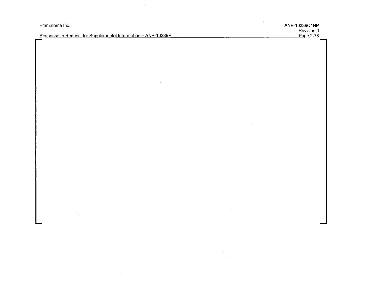Response to Request for Supplemental Information - ANP-10339P

ANP-10339Q1 NP Revision 0  $\ddot{\phantom{a}}$ Page 2-78

 $\pm$ 

|                                                                                                                             | $\mathcal{L}(\mathcal{L}^{\mathcal{L}})$ and $\mathcal{L}^{\mathcal{L}}$ are the set of the set of the set of $\mathcal{L}^{\mathcal{L}}$ |                                                                                                                                                        |  |
|-----------------------------------------------------------------------------------------------------------------------------|-------------------------------------------------------------------------------------------------------------------------------------------|--------------------------------------------------------------------------------------------------------------------------------------------------------|--|
|                                                                                                                             |                                                                                                                                           |                                                                                                                                                        |  |
|                                                                                                                             |                                                                                                                                           |                                                                                                                                                        |  |
|                                                                                                                             |                                                                                                                                           |                                                                                                                                                        |  |
|                                                                                                                             |                                                                                                                                           |                                                                                                                                                        |  |
|                                                                                                                             |                                                                                                                                           | $\mathcal{L}(\mathcal{L}(\mathcal{L}))$ and $\mathcal{L}(\mathcal{L}(\mathcal{L}))$ . The contribution of $\mathcal{L}(\mathcal{L})$                   |  |
|                                                                                                                             |                                                                                                                                           |                                                                                                                                                        |  |
|                                                                                                                             |                                                                                                                                           |                                                                                                                                                        |  |
|                                                                                                                             |                                                                                                                                           |                                                                                                                                                        |  |
|                                                                                                                             |                                                                                                                                           |                                                                                                                                                        |  |
|                                                                                                                             |                                                                                                                                           |                                                                                                                                                        |  |
|                                                                                                                             |                                                                                                                                           |                                                                                                                                                        |  |
|                                                                                                                             |                                                                                                                                           |                                                                                                                                                        |  |
|                                                                                                                             |                                                                                                                                           |                                                                                                                                                        |  |
|                                                                                                                             |                                                                                                                                           | $\mathcal{L}(\mathcal{L})$ and $\mathcal{L}(\mathcal{L})$ and $\mathcal{L}(\mathcal{L})$ and $\mathcal{L}(\mathcal{L})$ and $\mathcal{L}(\mathcal{L})$ |  |
| $\mathcal{L}(\mathcal{L}(\mathcal{L}))$ . The contract of $\mathcal{L}(\mathcal{L})$ is a set of $\mathcal{L}(\mathcal{L})$ |                                                                                                                                           |                                                                                                                                                        |  |
|                                                                                                                             |                                                                                                                                           |                                                                                                                                                        |  |
|                                                                                                                             |                                                                                                                                           |                                                                                                                                                        |  |
|                                                                                                                             |                                                                                                                                           |                                                                                                                                                        |  |
|                                                                                                                             |                                                                                                                                           |                                                                                                                                                        |  |

 $\mathcal{L}^{\text{max}}_{\text{max}}$  and  $\mathcal{L}^{\text{max}}_{\text{max}}$ 

 $\mathcal{A}^{\mathcal{A}}$ 

 $\label{eq:2.1} \frac{1}{\sqrt{2}}\sum_{i=1}^n\frac{1}{\sqrt{2}}\sum_{i=1}^n\frac{1}{\sqrt{2}}\sum_{i=1}^n\frac{1}{\sqrt{2}}\sum_{i=1}^n\frac{1}{\sqrt{2}}\sum_{i=1}^n\frac{1}{\sqrt{2}}\sum_{i=1}^n\frac{1}{\sqrt{2}}\sum_{i=1}^n\frac{1}{\sqrt{2}}\sum_{i=1}^n\frac{1}{\sqrt{2}}\sum_{i=1}^n\frac{1}{\sqrt{2}}\sum_{i=1}^n\frac{1}{\sqrt{2}}\sum_{i=1}^n\frac$ 

 $\bar{z}$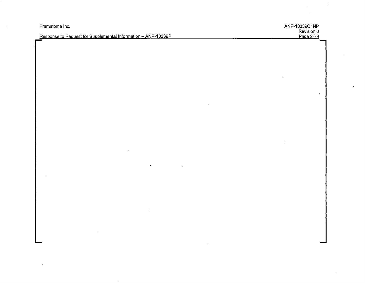$\sim$ 

Response to Request for Supplemental Information - ANP-10339P

 $\ddot{\phantom{a}}$ 

ANP-10339Q1 NP Revision 0 <u>Page 2-79</u>

|                                                                                          |                                                                                                                                                                                |                                                                                                                                                                             |                                                                                                                                                          | $\mathcal{L}(\mathcal{L}(\mathcal{L}(\mathcal{L}(\mathcal{L}(\mathcal{L}(\mathcal{L}(\mathcal{L}(\mathcal{L}(\mathcal{L}(\mathcal{L}(\mathcal{L}(\mathcal{L}(\mathcal{L}(\mathcal{L}(\mathcal{L}(\mathcal{L}(\mathcal{L}(\mathcal{L}(\mathcal{L}(\mathcal{L}(\mathcal{L}(\mathcal{L}(\mathcal{L}(\mathcal{L}(\mathcal{L}(\mathcal{L}(\mathcal{L}(\mathcal{L}(\mathcal{L}(\mathcal{L}(\mathcal{L}(\mathcal{L}(\mathcal{L}(\mathcal{L}(\mathcal{L}(\mathcal{$ |                      |
|------------------------------------------------------------------------------------------|--------------------------------------------------------------------------------------------------------------------------------------------------------------------------------|-----------------------------------------------------------------------------------------------------------------------------------------------------------------------------|----------------------------------------------------------------------------------------------------------------------------------------------------------|-------------------------------------------------------------------------------------------------------------------------------------------------------------------------------------------------------------------------------------------------------------------------------------------------------------------------------------------------------------------------------------------------------------------------------------------------------------|----------------------|
|                                                                                          |                                                                                                                                                                                |                                                                                                                                                                             |                                                                                                                                                          |                                                                                                                                                                                                                                                                                                                                                                                                                                                             | $\ddot{\phantom{0}}$ |
|                                                                                          |                                                                                                                                                                                |                                                                                                                                                                             | $\mathcal{L}(\mathcal{L}(\mathcal{L}))$ and $\mathcal{L}(\mathcal{L}(\mathcal{L}))$ . The contribution of the contribution of $\mathcal{L}(\mathcal{L})$ |                                                                                                                                                                                                                                                                                                                                                                                                                                                             |                      |
|                                                                                          |                                                                                                                                                                                |                                                                                                                                                                             |                                                                                                                                                          |                                                                                                                                                                                                                                                                                                                                                                                                                                                             |                      |
|                                                                                          | $\label{eq:2.1} \mathcal{L}(\mathcal{L}(\mathcal{L})) = \mathcal{L}(\mathcal{L}(\mathcal{L})) = \mathcal{L}(\mathcal{L}(\mathcal{L})) = \mathcal{L}(\mathcal{L}(\mathcal{L}))$ |                                                                                                                                                                             |                                                                                                                                                          | $\label{eq:2.1} \mathcal{L}(\mathcal{L}^{\mathcal{L}}_{\mathcal{L}}(\mathcal{L}^{\mathcal{L}}_{\mathcal{L}})) = \mathcal{L}(\mathcal{L}^{\mathcal{L}}_{\mathcal{L}}(\mathcal{L}^{\mathcal{L}}_{\mathcal{L}})) = \mathcal{L}(\mathcal{L}^{\mathcal{L}}_{\mathcal{L}}(\mathcal{L}^{\mathcal{L}}_{\mathcal{L}}))$                                                                                                                                              |                      |
|                                                                                          |                                                                                                                                                                                | $\mathcal{L}(\mathcal{L}(\mathcal{L}))$ and $\mathcal{L}(\mathcal{L}(\mathcal{L}))$ and $\mathcal{L}(\mathcal{L}(\mathcal{L}))$ and $\mathcal{L}(\mathcal{L}(\mathcal{L}))$ |                                                                                                                                                          |                                                                                                                                                                                                                                                                                                                                                                                                                                                             |                      |
|                                                                                          |                                                                                                                                                                                |                                                                                                                                                                             |                                                                                                                                                          |                                                                                                                                                                                                                                                                                                                                                                                                                                                             |                      |
|                                                                                          | $\mathcal{L}(\mathcal{L})$ and $\mathcal{L}(\mathcal{L})$ . The set of the set of $\mathcal{L}(\mathcal{L})$                                                                   |                                                                                                                                                                             |                                                                                                                                                          |                                                                                                                                                                                                                                                                                                                                                                                                                                                             |                      |
| $\mathcal{L}(\mathcal{L})$ and $\mathcal{L}(\mathcal{L})$ and $\mathcal{L}(\mathcal{L})$ |                                                                                                                                                                                |                                                                                                                                                                             |                                                                                                                                                          |                                                                                                                                                                                                                                                                                                                                                                                                                                                             |                      |
|                                                                                          |                                                                                                                                                                                |                                                                                                                                                                             | $\mathcal{L}(\mathcal{L}^{\mathcal{L}})$ and $\mathcal{L}(\mathcal{L}^{\mathcal{L}})$ and $\mathcal{L}(\mathcal{L}^{\mathcal{L}})$                       |                                                                                                                                                                                                                                                                                                                                                                                                                                                             |                      |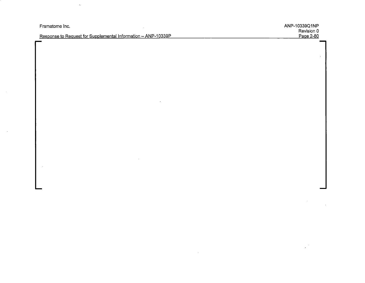$\bar{\lambda}$ 

Response to Request for Supplemental Information - ANP-10339P

 $\mathcal{L}$ 

 $\sim$ 

|                                                                                                                                                                                                                                                                                                                                                                                                                                                             | $\mathcal{L}(\mathcal{L}(\mathcal{L}(\mathcal{L}(\mathcal{L}(\mathcal{L}(\mathcal{L}(\mathcal{L}(\mathcal{L}(\mathcal{L}(\mathcal{L}(\mathcal{L}(\mathcal{L}(\mathcal{L}(\mathcal{L}(\mathcal{L}(\mathcal{L}(\mathcal{L}(\mathcal{L}(\mathcal{L}(\mathcal{L}(\mathcal{L}(\mathcal{L}(\mathcal{L}(\mathcal{L}(\mathcal{L}(\mathcal{L}(\mathcal{L}(\mathcal{L}(\mathcal{L}(\mathcal{L}(\mathcal{L}(\mathcal{L}(\mathcal{L}(\mathcal{L}(\mathcal{L}(\mathcal{$ |        |
|-------------------------------------------------------------------------------------------------------------------------------------------------------------------------------------------------------------------------------------------------------------------------------------------------------------------------------------------------------------------------------------------------------------------------------------------------------------|-------------------------------------------------------------------------------------------------------------------------------------------------------------------------------------------------------------------------------------------------------------------------------------------------------------------------------------------------------------------------------------------------------------------------------------------------------------|--------|
|                                                                                                                                                                                                                                                                                                                                                                                                                                                             |                                                                                                                                                                                                                                                                                                                                                                                                                                                             |        |
|                                                                                                                                                                                                                                                                                                                                                                                                                                                             |                                                                                                                                                                                                                                                                                                                                                                                                                                                             |        |
|                                                                                                                                                                                                                                                                                                                                                                                                                                                             |                                                                                                                                                                                                                                                                                                                                                                                                                                                             |        |
| $\mathcal{L}(\mathcal{L}(\mathcal{L}(\mathcal{L}(\mathcal{L}(\mathcal{L}(\mathcal{L}(\mathcal{L}(\mathcal{L}(\mathcal{L}(\mathcal{L}(\mathcal{L}(\mathcal{L}(\mathcal{L}(\mathcal{L}(\mathcal{L}(\mathcal{L}(\mathcal{L}(\mathcal{L}(\mathcal{L}(\mathcal{L}(\mathcal{L}(\mathcal{L}(\mathcal{L}(\mathcal{L}(\mathcal{L}(\mathcal{L}(\mathcal{L}(\mathcal{L}(\mathcal{L}(\mathcal{L}(\mathcal{L}(\mathcal{L}(\mathcal{L}(\mathcal{L}(\mathcal{L}(\mathcal{$ |                                                                                                                                                                                                                                                                                                                                                                                                                                                             |        |
|                                                                                                                                                                                                                                                                                                                                                                                                                                                             |                                                                                                                                                                                                                                                                                                                                                                                                                                                             |        |
|                                                                                                                                                                                                                                                                                                                                                                                                                                                             |                                                                                                                                                                                                                                                                                                                                                                                                                                                             |        |
|                                                                                                                                                                                                                                                                                                                                                                                                                                                             |                                                                                                                                                                                                                                                                                                                                                                                                                                                             | $\sim$ |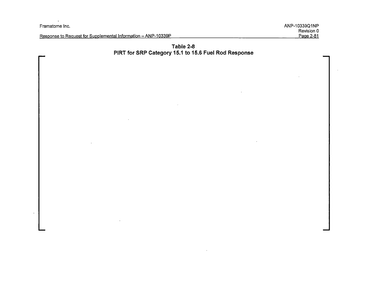Response to Request for Supplemental Information - ANP-10339P

ANP-10339Q1 NP Revision 0 Page 2-81

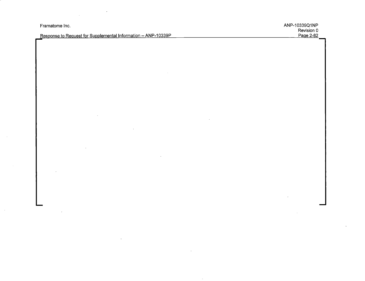$\mathcal{L}_{\mathcal{A}}$ 

Response to Request for Supplemental Information - ANP-10339P

ANP-10339Q1NP Revision 0 Page 2-82

|                                                                                                                                                                                                                                                                                                                                                                                                                                                             |                                                                                 | $\mathcal{L}(\mathcal{L}(\mathcal{L}(\mathcal{L}(\mathcal{L}(\mathcal{L}(\mathcal{L}(\mathcal{L}(\mathcal{L}(\mathcal{L}(\mathcal{L}(\mathcal{L}(\mathcal{L}(\mathcal{L}(\mathcal{L}(\mathcal{L}(\mathcal{L}(\mathcal{L}(\mathcal{L}(\mathcal{L}(\mathcal{L}(\mathcal{L}(\mathcal{L}(\mathcal{L}(\mathcal{L}(\mathcal{L}(\mathcal{L}(\mathcal{L}(\mathcal{L}(\mathcal{L}(\mathcal{L}(\mathcal{L}(\mathcal{L}(\mathcal{L}(\mathcal{L}(\mathcal{L}(\mathcal{$ |                                           |                                                                                                                                      |
|-------------------------------------------------------------------------------------------------------------------------------------------------------------------------------------------------------------------------------------------------------------------------------------------------------------------------------------------------------------------------------------------------------------------------------------------------------------|---------------------------------------------------------------------------------|-------------------------------------------------------------------------------------------------------------------------------------------------------------------------------------------------------------------------------------------------------------------------------------------------------------------------------------------------------------------------------------------------------------------------------------------------------------|-------------------------------------------|--------------------------------------------------------------------------------------------------------------------------------------|
|                                                                                                                                                                                                                                                                                                                                                                                                                                                             |                                                                                 |                                                                                                                                                                                                                                                                                                                                                                                                                                                             |                                           |                                                                                                                                      |
|                                                                                                                                                                                                                                                                                                                                                                                                                                                             |                                                                                 |                                                                                                                                                                                                                                                                                                                                                                                                                                                             |                                           |                                                                                                                                      |
| a de la construcción de la construcción de la construcción de la construcción de la construcción de la constru<br>En 1930, el construcción de la construcción de la construcción de la construcción de la construcción de la con                                                                                                                                                                                                                            |                                                                                 |                                                                                                                                                                                                                                                                                                                                                                                                                                                             |                                           |                                                                                                                                      |
|                                                                                                                                                                                                                                                                                                                                                                                                                                                             | the contract of the contract of the contract of the contract of the contract of |                                                                                                                                                                                                                                                                                                                                                                                                                                                             |                                           |                                                                                                                                      |
|                                                                                                                                                                                                                                                                                                                                                                                                                                                             |                                                                                 |                                                                                                                                                                                                                                                                                                                                                                                                                                                             |                                           |                                                                                                                                      |
| $\mathcal{L}(\mathcal{L}(\mathcal{L}(\mathcal{L}(\mathcal{L}(\mathcal{L}(\mathcal{L}(\mathcal{L}(\mathcal{L}(\mathcal{L}(\mathcal{L}(\mathcal{L}(\mathcal{L}(\mathcal{L}(\mathcal{L}(\mathcal{L}(\mathcal{L}(\mathcal{L}(\mathcal{L}(\mathcal{L}(\mathcal{L}(\mathcal{L}(\mathcal{L}(\mathcal{L}(\mathcal{L}(\mathcal{L}(\mathcal{L}(\mathcal{L}(\mathcal{L}(\mathcal{L}(\mathcal{L}(\mathcal{L}(\mathcal{L}(\mathcal{L}(\mathcal{L}(\mathcal{L}(\mathcal{$ |                                                                                 |                                                                                                                                                                                                                                                                                                                                                                                                                                                             |                                           |                                                                                                                                      |
|                                                                                                                                                                                                                                                                                                                                                                                                                                                             |                                                                                 |                                                                                                                                                                                                                                                                                                                                                                                                                                                             | the control of the control of the control |                                                                                                                                      |
| the contract of the contract of the contract of the contract of the contract of                                                                                                                                                                                                                                                                                                                                                                             |                                                                                 |                                                                                                                                                                                                                                                                                                                                                                                                                                                             |                                           | $\mathcal{L}(\mathcal{L}(\mathcal{L}))$ and $\mathcal{L}(\mathcal{L}(\mathcal{L}))$ . The contribution of $\mathcal{L}(\mathcal{L})$ |
|                                                                                                                                                                                                                                                                                                                                                                                                                                                             |                                                                                 |                                                                                                                                                                                                                                                                                                                                                                                                                                                             |                                           |                                                                                                                                      |

 $\sim$   $\sim$